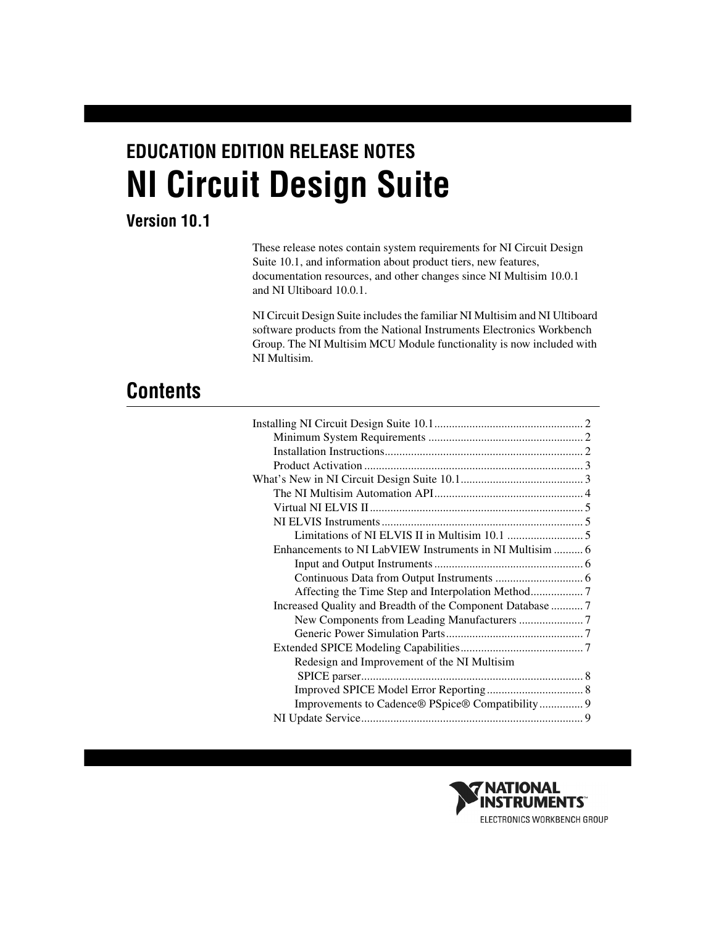# **EDUCATION EDITION RELEASE NOTES NI Circuit Design Suite**

# **Version 10.1**

These release notes contain system requirements for NI Circuit Design Suite 10.1, and information about product tiers, new features, documentation resources, and other changes since NI Multisim 10.0.1 and NI Ultiboard 10.0.1.

NI Circuit Design Suite includes the familiar NI Multisim and NI Ultiboard software products from the National Instruments Electronics Workbench Group. The NI Multisim MCU Module functionality is now included with NI Multisim.

# **Contents**

| Increased Quality and Breadth of the Component Database 7 |  |
|-----------------------------------------------------------|--|
|                                                           |  |
|                                                           |  |
|                                                           |  |
| Redesign and Improvement of the NI Multisim               |  |
|                                                           |  |
|                                                           |  |
| Improvements to Cadence® PSpice® Compatibility 9          |  |
|                                                           |  |

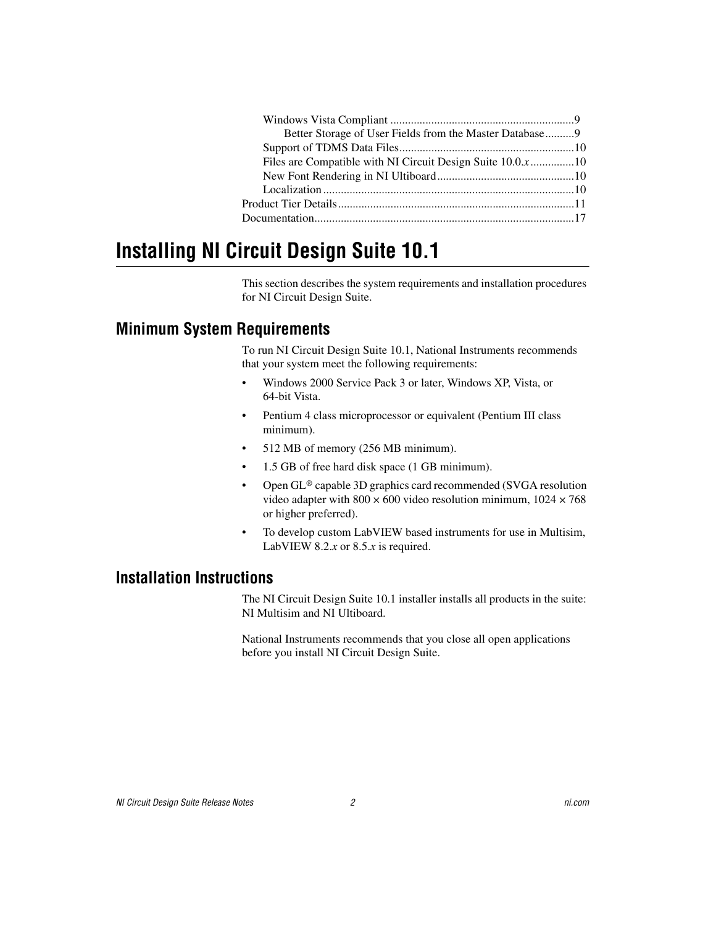| Better Storage of User Fields from the Master Database9 |  |
|---------------------------------------------------------|--|
|                                                         |  |
|                                                         |  |
|                                                         |  |
|                                                         |  |
|                                                         |  |
|                                                         |  |
|                                                         |  |

# <span id="page-1-0"></span>**Installing NI Circuit Design Suite 10.1**

This section describes the system requirements and installation procedures for NI Circuit Design Suite.

#### <span id="page-1-1"></span>**Minimum System Requirements**

To run NI Circuit Design Suite 10.1, National Instruments recommends that your system meet the following requirements:

- Windows 2000 Service Pack 3 or later, Windows XP, Vista, or 64-bit Vista.
- Pentium 4 class microprocessor or equivalent (Pentium III class minimum).
- 512 MB of memory (256 MB minimum).
- 1.5 GB of free hard disk space (1 GB minimum).
- Open GL® capable 3D graphics card recommended (SVGA resolution video adapter with  $800 \times 600$  video resolution minimum,  $1024 \times 768$ or higher preferred).
- To develop custom LabVIEW based instruments for use in Multisim, LabVIEW 8.2.*x* or 8.5.*x* is required.

# <span id="page-1-2"></span>**Installation Instructions**

The NI Circuit Design Suite 10.1 installer installs all products in the suite: NI Multisim and NI Ultiboard.

National Instruments recommends that you close all open applications before you install NI Circuit Design Suite.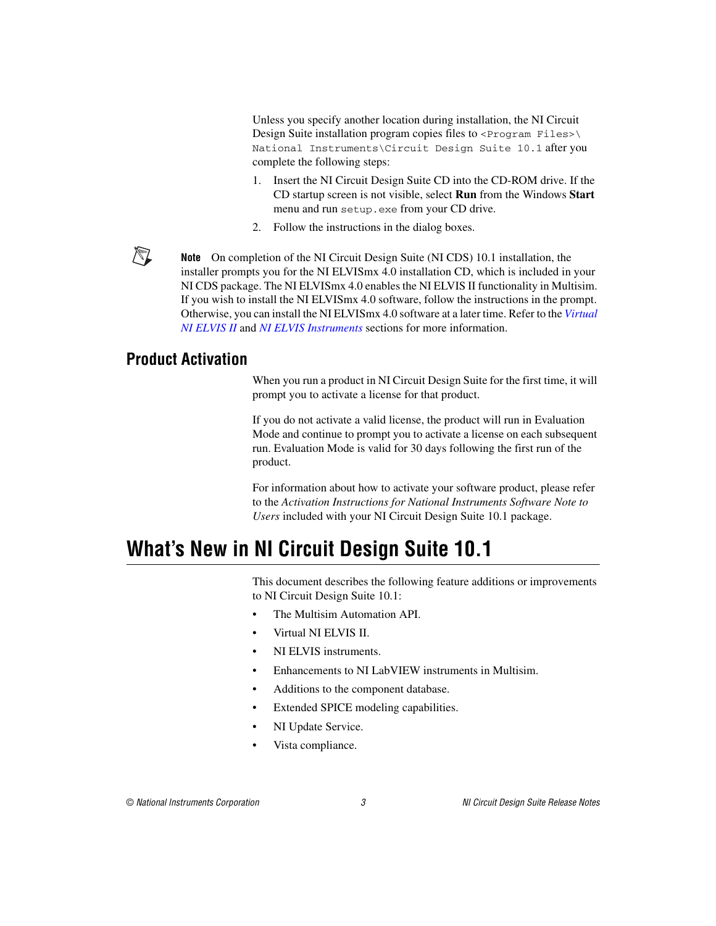Unless you specify another location during installation, the NI Circuit Design Suite installation program copies files to <Program Files>\ National Instruments\Circuit Design Suite 10.1 after you complete the following steps:

- 1. Insert the NI Circuit Design Suite CD into the CD-ROM drive. If the CD startup screen is not visible, select **Run** from the Windows **Start** menu and run setup.exe from your CD drive.
- 2. Follow the instructions in the dialog boxes.

**Note** On completion of the NI Circuit Design Suite (NI CDS) 10.1 installation, the installer prompts you for the NI ELVISmx 4.0 installation CD, which is included in your NI CDS package. The NI ELVISmx 4.0 enables the NI ELVIS II functionality in Multisim. If you wish to install the NI ELVISmx 4.0 software, follow the instructions in the prompt. Otherwise, you can install the NI ELVISmx 4.0 software at a later time. Refer to the *[Virtual](#page-4-0)  [NI ELVIS II](#page-4-0)* and *[NI ELVIS Instruments](#page-4-1)* sections for more information.

#### <span id="page-2-0"></span>**Product Activation**

 $\mathbb{N}$ 

When you run a product in NI Circuit Design Suite for the first time, it will prompt you to activate a license for that product.

If you do not activate a valid license, the product will run in Evaluation Mode and continue to prompt you to activate a license on each subsequent run. Evaluation Mode is valid for 30 days following the first run of the product.

For information about how to activate your software product, please refer to the *Activation Instructions for National Instruments Software Note to Users* included with your NI Circuit Design Suite 10.1 package.

# <span id="page-2-1"></span>**What's New in NI Circuit Design Suite 10.1**

This document describes the following feature additions or improvements to NI Circuit Design Suite 10.1:

- The Multisim Automation API.
- Virtual NI ELVIS II.
- NI ELVIS instruments.
- Enhancements to NI Lab VIEW instruments in Multisim.
- Additions to the component database.
- Extended SPICE modeling capabilities.
- NI Update Service.
- Vista compliance.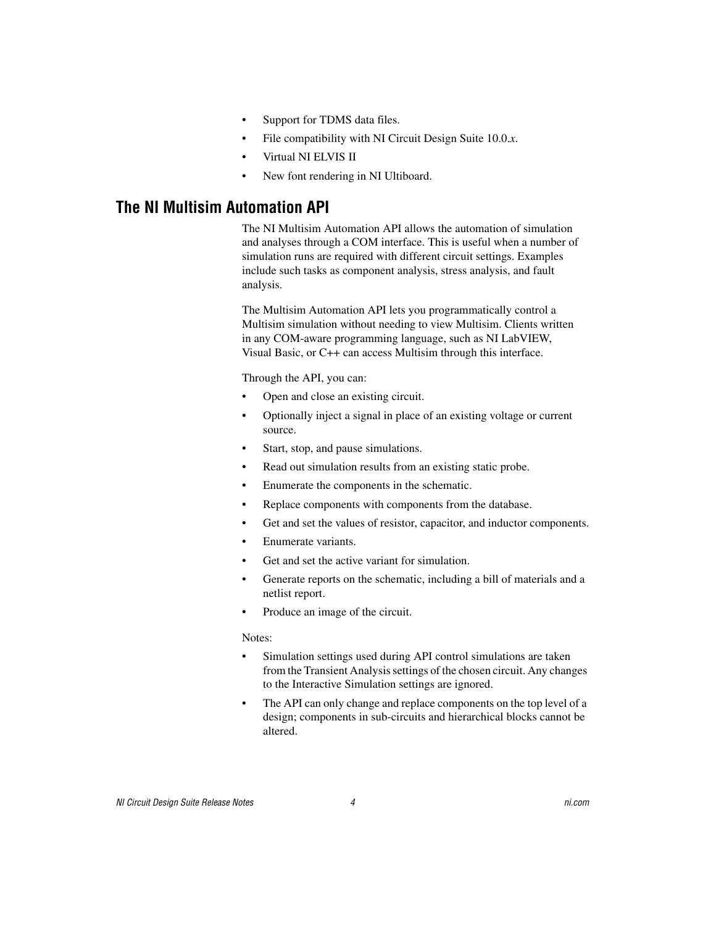- Support for TDMS data files.
- File compatibility with NI Circuit Design Suite 10.0.*x*.
- Virtual NI ELVIS II
- New font rendering in NI Ultiboard.

#### <span id="page-3-0"></span>**The NI Multisim Automation API**

The NI Multisim Automation API allows the automation of simulation and analyses through a COM interface. This is useful when a number of simulation runs are required with different circuit settings. Examples include such tasks as component analysis, stress analysis, and fault analysis.

The Multisim Automation API lets you programmatically control a Multisim simulation without needing to view Multisim. Clients written in any COM-aware programming language, such as NI LabVIEW, Visual Basic, or C++ can access Multisim through this interface.

Through the API, you can:

- Open and close an existing circuit.
- Optionally inject a signal in place of an existing voltage or current source.
- Start, stop, and pause simulations.
- Read out simulation results from an existing static probe.
- Enumerate the components in the schematic.
- Replace components with components from the database.
- Get and set the values of resistor, capacitor, and inductor components.
- Enumerate variants.
- Get and set the active variant for simulation.
- Generate reports on the schematic, including a bill of materials and a netlist report.
- Produce an image of the circuit.

#### Notes:

- Simulation settings used during API control simulations are taken from the Transient Analysis settings of the chosen circuit. Any changes to the Interactive Simulation settings are ignored.
- The API can only change and replace components on the top level of a design; components in sub-circuits and hierarchical blocks cannot be altered.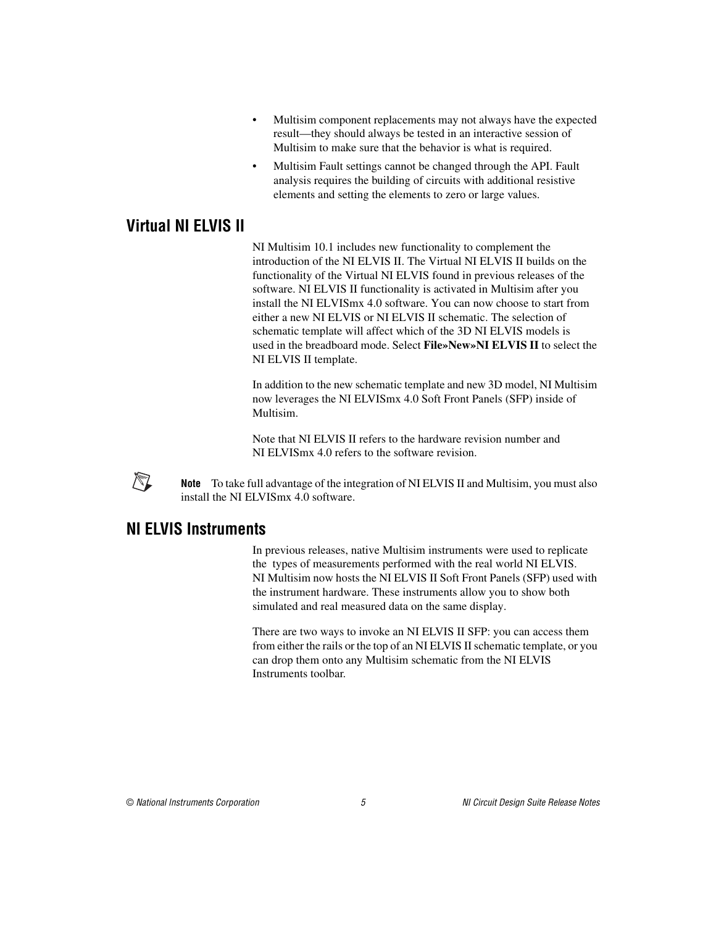- Multisim component replacements may not always have the expected result—they should always be tested in an interactive session of Multisim to make sure that the behavior is what is required.
- Multisim Fault settings cannot be changed through the API. Fault analysis requires the building of circuits with additional resistive elements and setting the elements to zero or large values.

### <span id="page-4-0"></span>**Virtual NI ELVIS II**

NI Multisim 10.1 includes new functionality to complement the introduction of the NI ELVIS II. The Virtual NI ELVIS II builds on the functionality of the Virtual NI ELVIS found in previous releases of the software. NI ELVIS II functionality is activated in Multisim after you install the NI ELVISmx 4.0 software. You can now choose to start from either a new NI ELVIS or NI ELVIS II schematic. The selection of schematic template will affect which of the 3D NI ELVIS models is used in the breadboard mode. Select **File»New»NI ELVIS II** to select the NI ELVIS II template.

In addition to the new schematic template and new 3D model, NI Multisim now leverages the NI ELVISmx 4.0 Soft Front Panels (SFP) inside of Multisim.

Note that NI ELVIS II refers to the hardware revision number and NI ELVISmx 4.0 refers to the software revision.



**Note** To take full advantage of the integration of NI ELVIS II and Multisim, you must also install the NI ELVISmx 4.0 software.

#### <span id="page-4-1"></span>**NI ELVIS Instruments**

In previous releases, native Multisim instruments were used to replicate the types of measurements performed with the real world NI ELVIS. NI Multisim now hosts the NI ELVIS II Soft Front Panels (SFP) used with the instrument hardware. These instruments allow you to show both simulated and real measured data on the same display.

There are two ways to invoke an NI ELVIS II SFP: you can access them from either the rails or the top of an NI ELVIS II schematic template, or you can drop them onto any Multisim schematic from the NI ELVIS Instruments toolbar.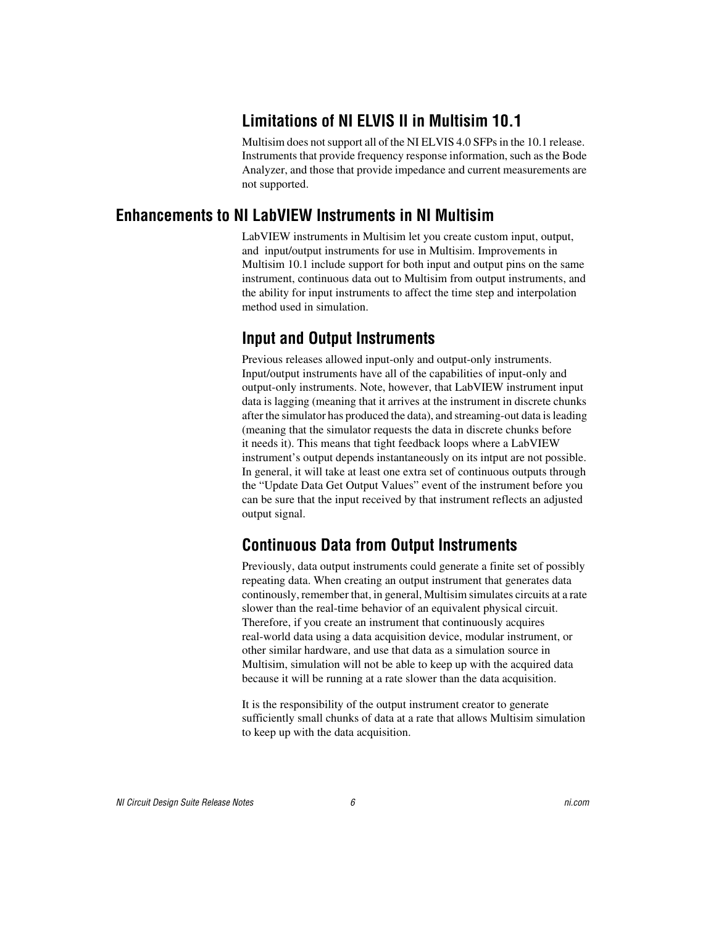# **Limitations of NI ELVIS II in Multisim 10.1**

Multisim does not support all of the NI ELVIS 4.0 SFPs in the 10.1 release. Instruments that provide frequency response information, such as the Bode Analyzer, and those that provide impedance and current measurements are not supported.

#### <span id="page-5-2"></span><span id="page-5-1"></span><span id="page-5-0"></span>**Enhancements to NI LabVIEW Instruments in NI Multisim**

LabVIEW instruments in Multisim let you create custom input, output, and input/output instruments for use in Multisim. Improvements in Multisim 10.1 include support for both input and output pins on the same instrument, continuous data out to Multisim from output instruments, and the ability for input instruments to affect the time step and interpolation method used in simulation.

# **Input and Output Instruments**

Previous releases allowed input-only and output-only instruments. Input/output instruments have all of the capabilities of input-only and output-only instruments. Note, however, that LabVIEW instrument input data is lagging (meaning that it arrives at the instrument in discrete chunks after the simulator has produced the data), and streaming-out data is leading (meaning that the simulator requests the data in discrete chunks before it needs it). This means that tight feedback loops where a LabVIEW instrument's output depends instantaneously on its intput are not possible. In general, it will take at least one extra set of continuous outputs through the "Update Data Get Output Values" event of the instrument before you can be sure that the input received by that instrument reflects an adjusted output signal.

# <span id="page-5-3"></span>**Continuous Data from Output Instruments**

Previously, data output instruments could generate a finite set of possibly repeating data. When creating an output instrument that generates data continously, remember that, in general, Multisim simulates circuits at a rate slower than the real-time behavior of an equivalent physical circuit. Therefore, if you create an instrument that continuously acquires real-world data using a data acquisition device, modular instrument, or other similar hardware, and use that data as a simulation source in Multisim, simulation will not be able to keep up with the acquired data because it will be running at a rate slower than the data acquisition.

It is the responsibility of the output instrument creator to generate sufficiently small chunks of data at a rate that allows Multisim simulation to keep up with the data acquisition.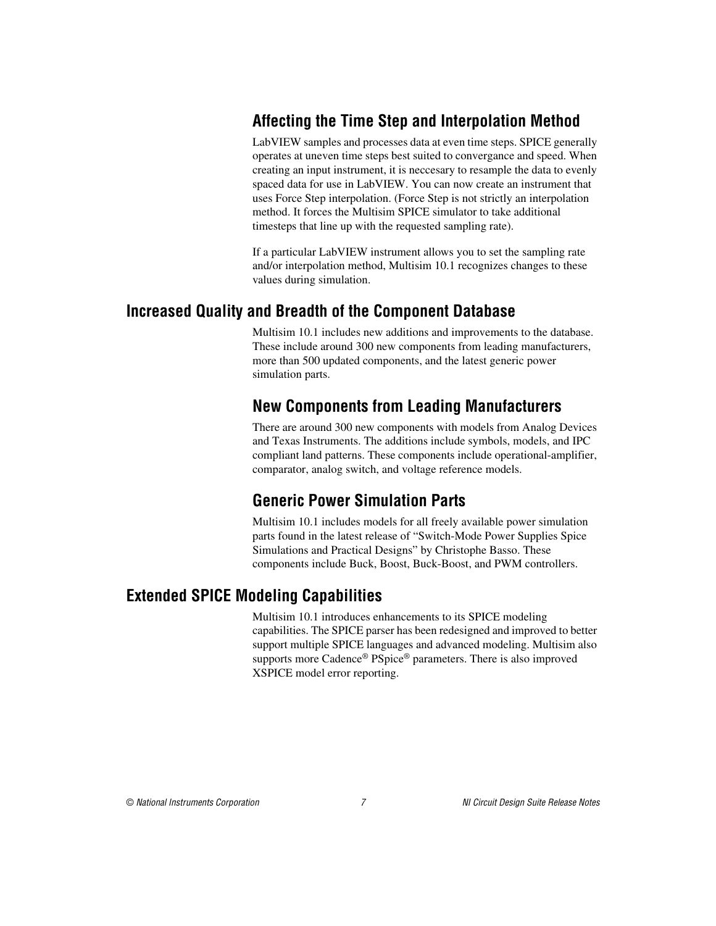# <span id="page-6-0"></span>**Affecting the Time Step and Interpolation Method**

LabVIEW samples and processes data at even time steps. SPICE generally operates at uneven time steps best suited to convergance and speed. When creating an input instrument, it is neccesary to resample the data to evenly spaced data for use in LabVIEW. You can now create an instrument that uses Force Step interpolation. (Force Step is not strictly an interpolation method. It forces the Multisim SPICE simulator to take additional timesteps that line up with the requested sampling rate).

If a particular LabVIEW instrument allows you to set the sampling rate and/or interpolation method, Multisim 10.1 recognizes changes to these values during simulation.

#### <span id="page-6-2"></span><span id="page-6-1"></span>**Increased Quality and Breadth of the Component Database**

Multisim 10.1 includes new additions and improvements to the database. These include around 300 new components from leading manufacturers, more than 500 updated components, and the latest generic power simulation parts.

# **New Components from Leading Manufacturers**

There are around 300 new components with models from Analog Devices and Texas Instruments. The additions include symbols, models, and IPC compliant land patterns. These components include operational-amplifier, comparator, analog switch, and voltage reference models.

# **Generic Power Simulation Parts**

Multisim 10.1 includes models for all freely available power simulation parts found in the latest release of "Switch-Mode Power Supplies Spice Simulations and Practical Designs" by Christophe Basso. These components include Buck, Boost, Buck-Boost, and PWM controllers.

#### <span id="page-6-4"></span><span id="page-6-3"></span>**Extended SPICE Modeling Capabilities**

Multisim 10.1 introduces enhancements to its SPICE modeling capabilities. The SPICE parser has been redesigned and improved to better support multiple SPICE languages and advanced modeling. Multisim also supports more Cadence® PSpice® parameters. There is also improved XSPICE model error reporting.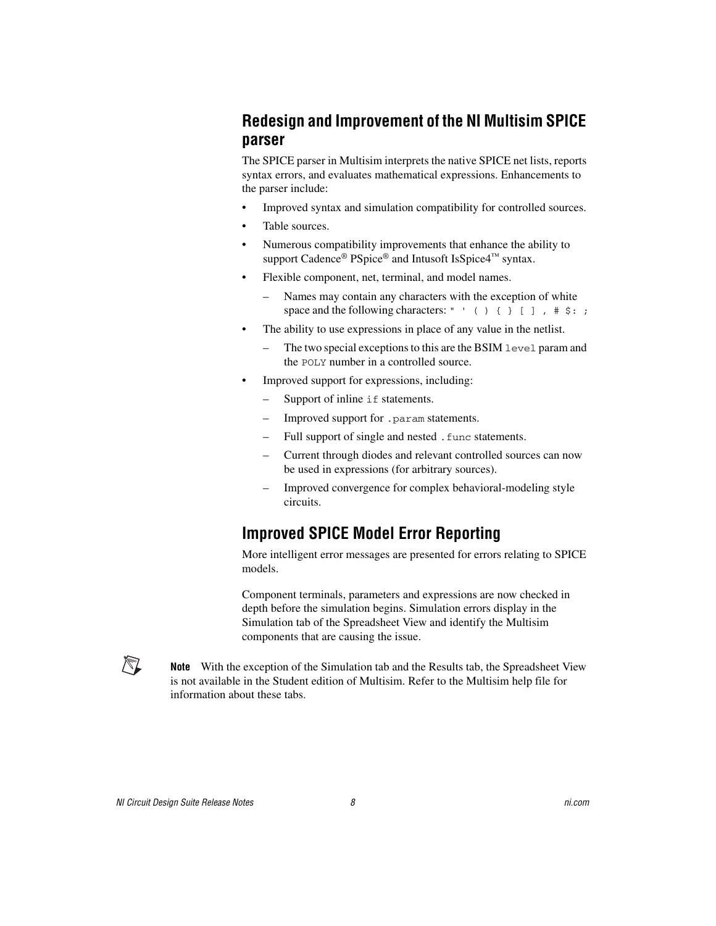# <span id="page-7-0"></span>**Redesign and Improvement of the NI Multisim SPICE parser**

The SPICE parser in Multisim interprets the native SPICE net lists, reports syntax errors, and evaluates mathematical expressions. Enhancements to the parser include:

- Improved syntax and simulation compatibility for controlled sources.
- Table sources.
- Numerous compatibility improvements that enhance the ability to support Cadence<sup>®</sup> PSpice<sup>®</sup> and Intusoft IsSpice4<sup>™</sup> syntax.
- Flexible component, net, terminal, and model names.
	- Names may contain any characters with the exception of white space and the following characters: " ' ( )  $\{ \}$  [ ],  $\#$  \$: ;
- The ability to use expressions in place of any value in the netlist.
	- The two special exceptions to this are the BSIM level param and the POLY number in a controlled source.
- Improved support for expressions, including:
	- Support of inline if statements.
	- Improved support for .param statements.
	- Full support of single and nested .func statements.
	- Current through diodes and relevant controlled sources can now be used in expressions (for arbitrary sources).
	- Improved convergence for complex behavioral-modeling style circuits.

# <span id="page-7-1"></span>**Improved SPICE Model Error Reporting**

More intelligent error messages are presented for errors relating to SPICE models.

Component terminals, parameters and expressions are now checked in depth before the simulation begins. Simulation errors display in the Simulation tab of the Spreadsheet View and identify the Multisim components that are causing the issue.

 $\mathbb{N}$ 

**Note** With the exception of the Simulation tab and the Results tab, the Spreadsheet View is not available in the Student edition of Multisim. Refer to the Multisim help file for information about these tabs.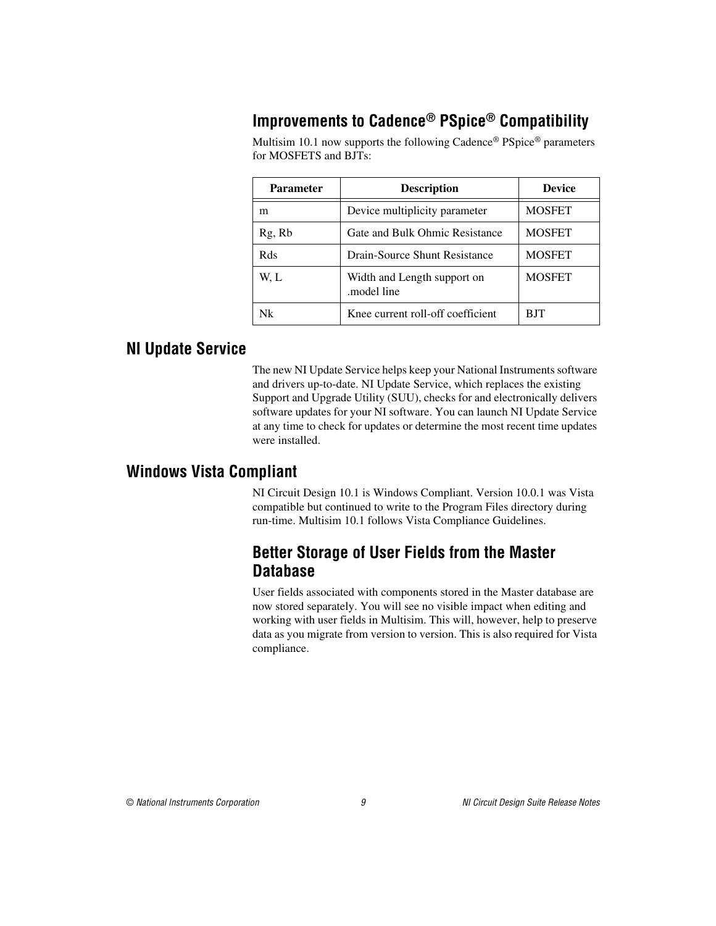# <span id="page-8-0"></span>**Improvements to Cadence® PSpice® Compatibility**

Multisim 10.1 now supports the following Cadence® PSpice® parameters for MOSFETS and BJTs:

| <b>Parameter</b> | <b>Description</b>                         | <b>Device</b> |
|------------------|--------------------------------------------|---------------|
| m                | Device multiplicity parameter              | <b>MOSFET</b> |
| Rg, Rb           | Gate and Bulk Ohmic Resistance             | <b>MOSFET</b> |
| Rds              | Drain-Source Shunt Resistance              | <b>MOSFET</b> |
| W. L             | Width and Length support on<br>model line. | <b>MOSFET</b> |
| Nk               | Knee current roll-off coefficient          | BJT           |

#### <span id="page-8-1"></span>**NI Update Service**

The new NI Update Service helps keep your National Instruments software and drivers up-to-date. NI Update Service, which replaces the existing Support and Upgrade Utility (SUU), checks for and electronically delivers software updates for your NI software. You can launch NI Update Service at any time to check for updates or determine the most recent time updates were installed.

# <span id="page-8-3"></span><span id="page-8-2"></span>**Windows Vista Compliant**

NI Circuit Design 10.1 is Windows Compliant. Version 10.0.1 was Vista compatible but continued to write to the Program Files directory during run-time. Multisim 10.1 follows Vista Compliance Guidelines.

# **Better Storage of User Fields from the Master Database**

User fields associated with components stored in the Master database are now stored separately. You will see no visible impact when editing and working with user fields in Multisim. This will, however, help to preserve data as you migrate from version to version. This is also required for Vista compliance.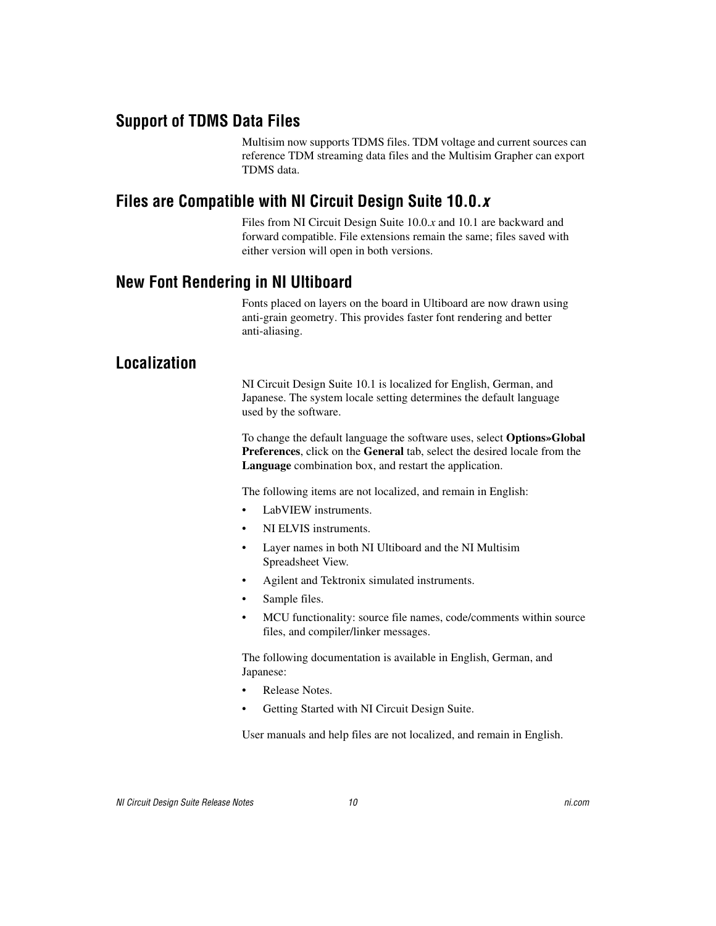### <span id="page-9-0"></span>**Support of TDMS Data Files**

Multisim now supports TDMS files. TDM voltage and current sources can reference TDM streaming data files and the Multisim Grapher can export TDMS data.

### <span id="page-9-1"></span>**Files are Compatible with NI Circuit Design Suite 10.0.***x*

Files from NI Circuit Design Suite 10.0.*x* and 10.1 are backward and forward compatible. File extensions remain the same; files saved with either version will open in both versions.

#### <span id="page-9-2"></span>**New Font Rendering in NI Ultiboard**

Fonts placed on layers on the board in Ultiboard are now drawn using anti-grain geometry. This provides faster font rendering and better anti-aliasing.

# <span id="page-9-3"></span>**Localization**

NI Circuit Design Suite 10.1 is localized for English, German, and Japanese. The system locale setting determines the default language used by the software.

To change the default language the software uses, select **Options»Global Preferences**, click on the **General** tab, select the desired locale from the **Language** combination box, and restart the application.

The following items are not localized, and remain in English:

- LabVIEW instruments.
- NI ELVIS instruments.
- Layer names in both NI Ultiboard and the NI Multisim Spreadsheet View.
- Agilent and Tektronix simulated instruments.
- Sample files.
- MCU functionality: source file names, code/comments within source files, and compiler/linker messages.

The following documentation is available in English, German, and Japanese:

- Release Notes.
- Getting Started with NI Circuit Design Suite.

User manuals and help files are not localized, and remain in English.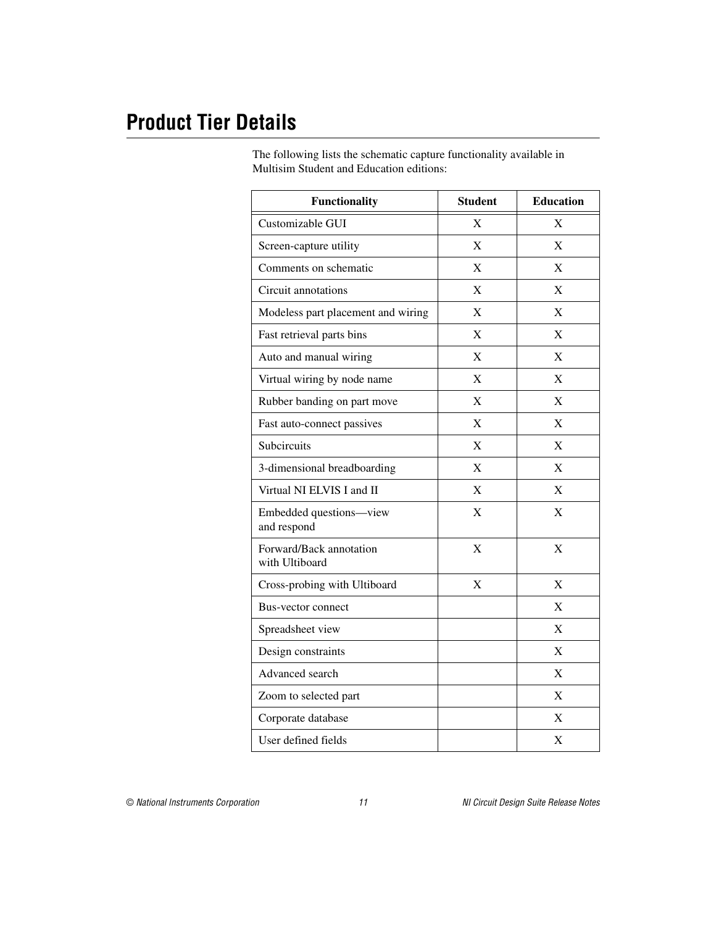# <span id="page-10-0"></span>**Product Tier Details**

The following lists the schematic capture functionality available in Multisim Student and Education editions:

| <b>Functionality</b>                      | <b>Student</b> | <b>Education</b> |
|-------------------------------------------|----------------|------------------|
| Customizable GUI                          | X              | X                |
| Screen-capture utility                    | $\mathbf{X}$   | X                |
| Comments on schematic                     | X              | X                |
| Circuit annotations                       | X              | X                |
| Modeless part placement and wiring        | $\mathbf{X}$   | X                |
| Fast retrieval parts bins                 | X              | X                |
| Auto and manual wiring                    | $\mathbf{X}$   | X                |
| Virtual wiring by node name               | X              | X                |
| Rubber banding on part move               | X              | X                |
| Fast auto-connect passives                | X              | X                |
| Subcircuits                               | X              | X                |
| 3-dimensional breadboarding               | X              | X                |
| Virtual NI ELVIS I and II                 | X              | X                |
| Embedded questions-view<br>and respond    | X              | X                |
| Forward/Back annotation<br>with Ultiboard | X              | X                |
| Cross-probing with Ultiboard              | X              | X                |
| Bus-vector connect                        |                | X                |
| Spreadsheet view                          |                | X                |
| Design constraints                        |                | X                |
| Advanced search                           |                | X                |
| Zoom to selected part                     |                | $\mathbf{X}$     |
| Corporate database                        |                | X                |
| User defined fields                       |                | X                |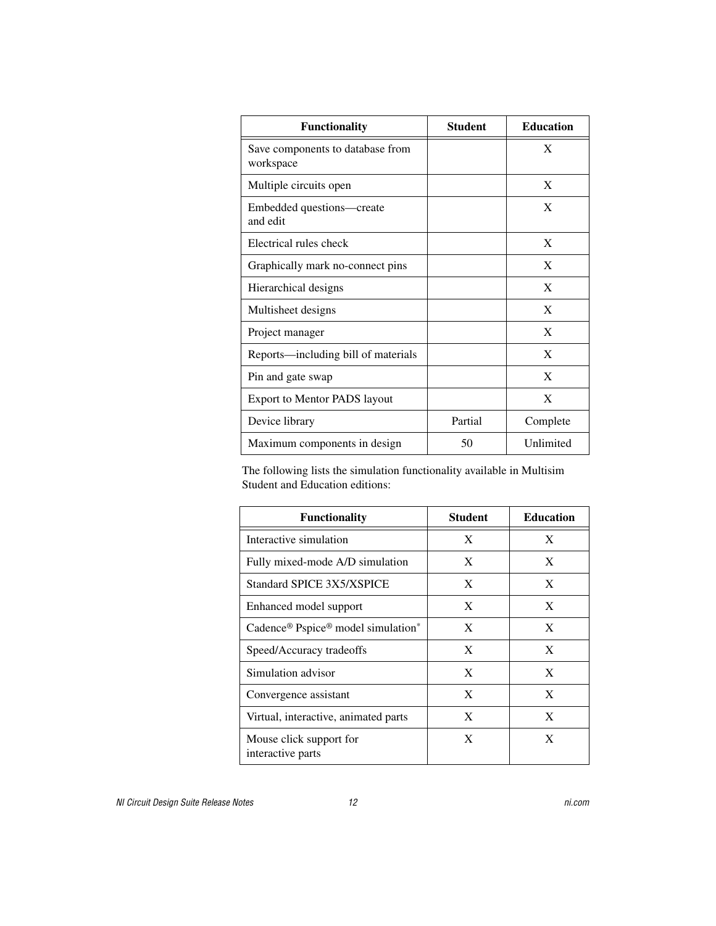| <b>Functionality</b>                          | <b>Student</b> | <b>Education</b> |
|-----------------------------------------------|----------------|------------------|
| Save components to database from<br>workspace |                | X                |
| Multiple circuits open                        |                | X                |
| Embedded questions—create<br>and edit         |                | X                |
| Electrical rules check                        |                | X                |
| Graphically mark no-connect pins              |                | X                |
| Hierarchical designs                          |                | X                |
| Multisheet designs                            |                | X                |
| Project manager                               |                | X                |
| Reports—including bill of materials           |                | X                |
| Pin and gate swap                             |                | X                |
| <b>Export to Mentor PADS layout</b>           |                | X                |
| Device library                                | Partial        | Complete         |
| Maximum components in design                  | 50             | Unlimited        |

The following lists the simulation functionality available in Multisim Student and Education editions:

| <b>Functionality</b>                         | <b>Student</b> | <b>Education</b> |
|----------------------------------------------|----------------|------------------|
| Interactive simulation                       | X              | X                |
| Fully mixed-mode A/D simulation              | X              | X                |
| Standard SPICE 3X5/XSPICE                    | X              | X                |
| Enhanced model support                       | X              | X                |
| Cadence® Pspice® model simulation*           | X              | X                |
| Speed/Accuracy tradeoffs                     | X              | X                |
| Simulation advisor                           | X              | X                |
| Convergence assistant                        | X              | X                |
| Virtual, interactive, animated parts         | X              | X                |
| Mouse click support for<br>interactive parts | X              | X                |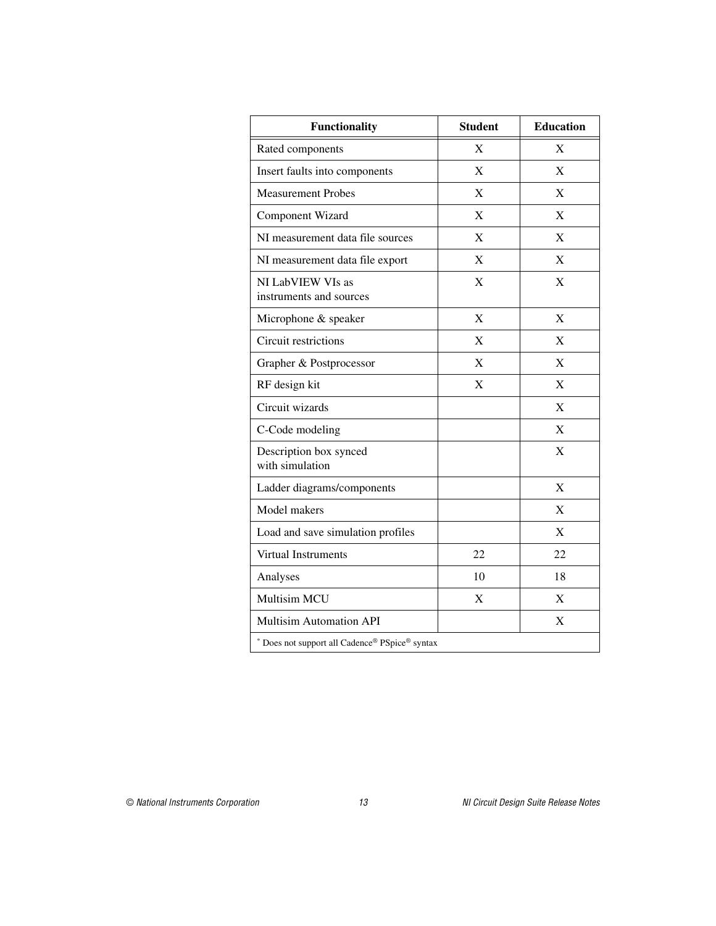| <b>Functionality</b>                           | <b>Student</b> | <b>Education</b> |
|------------------------------------------------|----------------|------------------|
| Rated components                               | $\mathbf{X}$   | X                |
| Insert faults into components                  | X              | X                |
| <b>Measurement Probes</b>                      | X              | X                |
| Component Wizard                               | X              | X                |
| NI measurement data file sources               | X              | X                |
| NI measurement data file export                | X              | X                |
| NI LabVIEW VIs as<br>instruments and sources   | $\mathbf{X}$   | $\mathbf{X}$     |
| Microphone & speaker                           | X              | X                |
| Circuit restrictions                           | X              | X                |
| Grapher & Postprocessor                        | X              | X                |
| RF design kit                                  | X              | X                |
| Circuit wizards                                |                | X                |
| C-Code modeling                                |                | X                |
| Description box synced<br>with simulation      |                | $\mathbf{X}$     |
| Ladder diagrams/components                     |                | X                |
| Model makers                                   |                | X                |
| Load and save simulation profiles              |                | X                |
| Virtual Instruments                            | 22             | 22               |
| Analyses                                       | 10             | 18               |
| Multisim MCU                                   | X              | X                |
| <b>Multisim Automation API</b>                 |                | X                |
| * Does not support all Cadence® PSpice® syntax |                |                  |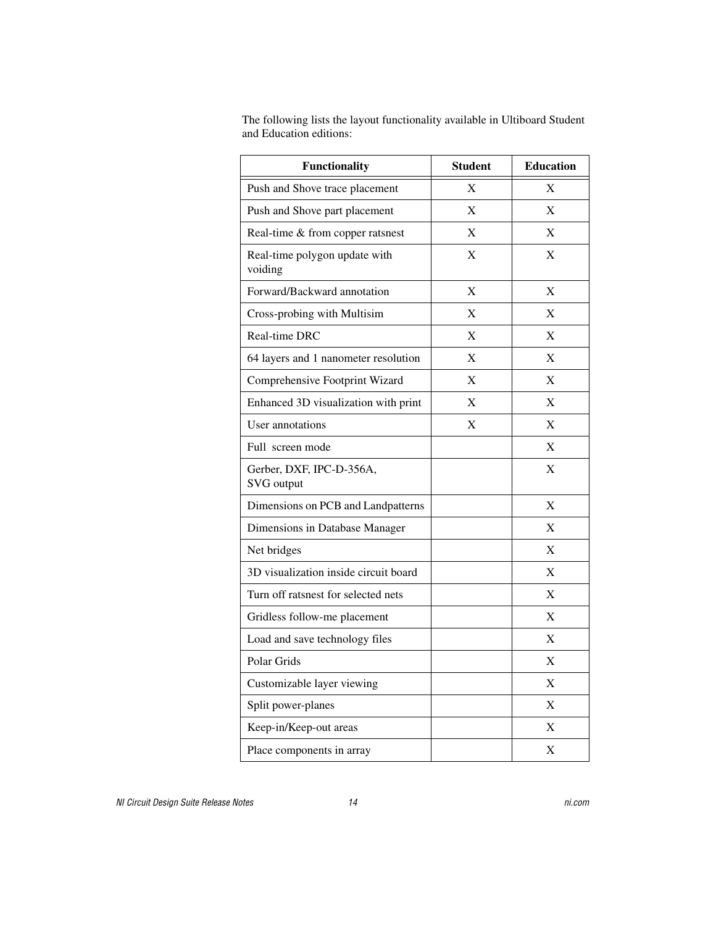The following lists the layout functionality available in Ultiboard Student and Education editions:

| <b>Functionality</b>                     | <b>Student</b> | <b>Education</b>      |
|------------------------------------------|----------------|-----------------------|
| Push and Shove trace placement           | X              | $\overline{\text{X}}$ |
| Push and Shove part placement            | X              | X                     |
| Real-time & from copper ratsnest         | X              | X                     |
| Real-time polygon update with<br>voiding | X              | X                     |
| Forward/Backward annotation              | X              | X                     |
| Cross-probing with Multisim              | X              | X                     |
| Real-time DRC                            | X              | X                     |
| 64 layers and 1 nanometer resolution     | X              | X                     |
| Comprehensive Footprint Wizard           | X              | X                     |
| Enhanced 3D visualization with print     | X              | $\overline{\text{X}}$ |
| User annotations                         | X              | X                     |
| Full screen mode                         |                | X                     |
| Gerber, DXF, IPC-D-356A,<br>SVG output   |                | X                     |
| Dimensions on PCB and Landpatterns       |                | $\mathbf{X}$          |
| Dimensions in Database Manager           |                | X                     |
| Net bridges                              |                | $\mathbf x$           |
| 3D visualization inside circuit board    |                | X                     |
| Turn off ratsnest for selected nets      |                | X                     |
| Gridless follow-me placement             |                | X                     |
| Load and save technology files           |                | X                     |
| Polar Grids                              |                | X                     |
| Customizable layer viewing               |                | X                     |
| Split power-planes                       |                | X                     |
| Keep-in/Keep-out areas                   |                | $\mathbf x$           |
| Place components in array                |                | X                     |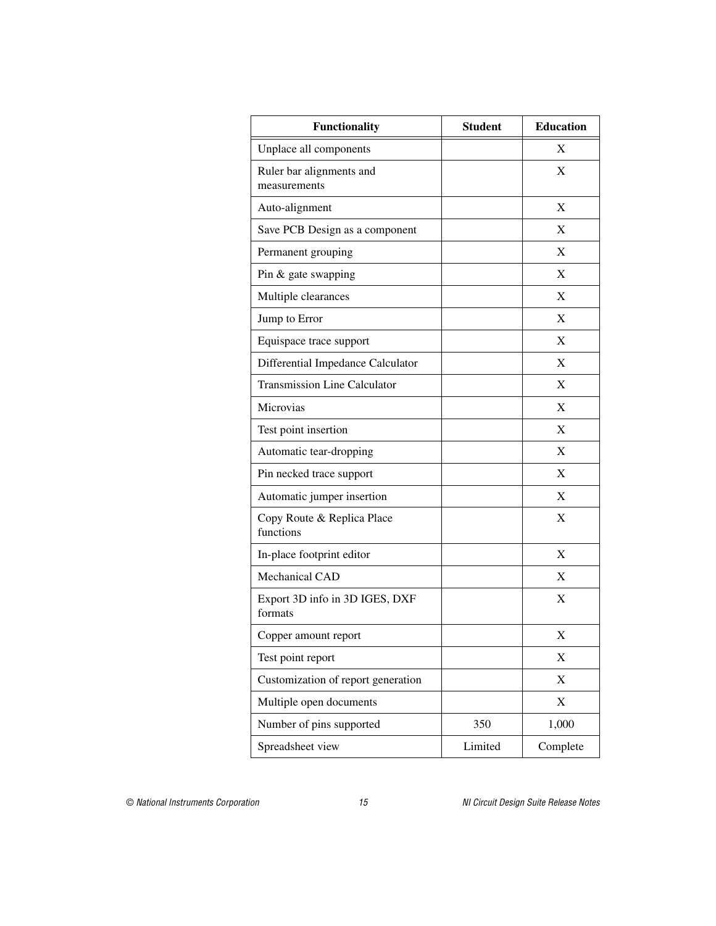| <b>Functionality</b>                      | <b>Student</b> | <b>Education</b> |
|-------------------------------------------|----------------|------------------|
| Unplace all components                    |                | X                |
| Ruler bar alignments and<br>measurements  |                | X                |
| Auto-alignment                            |                | X                |
| Save PCB Design as a component            |                | $\mathbf X$      |
| Permanent grouping                        |                | X                |
| Pin & gate swapping                       |                | X                |
| Multiple clearances                       |                | X                |
| Jump to Error                             |                | X                |
| Equispace trace support                   |                | X                |
| Differential Impedance Calculator         |                | X                |
| <b>Transmission Line Calculator</b>       |                | X                |
| Microvias                                 |                | X                |
| Test point insertion                      |                | X                |
| Automatic tear-dropping                   |                | X                |
| Pin necked trace support                  |                | X                |
| Automatic jumper insertion                |                | X                |
| Copy Route & Replica Place<br>functions   |                | X                |
| In-place footprint editor                 |                | X                |
| Mechanical CAD                            |                | X                |
| Export 3D info in 3D IGES, DXF<br>formats |                | X                |
| Copper amount report                      |                | X                |
| Test point report                         |                | X                |
| Customization of report generation        |                | X                |
| Multiple open documents                   |                | X                |
| Number of pins supported                  | 350            | 1,000            |
| Spreadsheet view                          | Limited        | Complete         |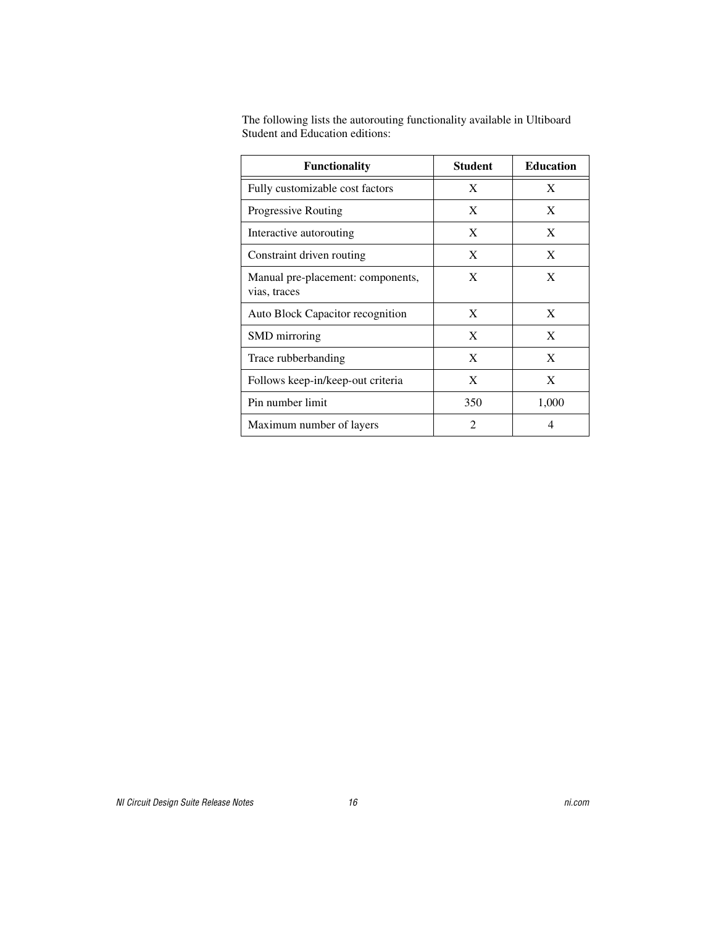| <b>Functionality</b>                              | <b>Student</b> | <b>Education</b> |
|---------------------------------------------------|----------------|------------------|
| Fully customizable cost factors                   | X              | X                |
| <b>Progressive Routing</b>                        | X              | X                |
| Interactive autorouting                           | X              | X                |
| Constraint driven routing                         | X              | X                |
| Manual pre-placement: components,<br>vias, traces | X              | X                |
| Auto Block Capacitor recognition                  | X              | X                |
| SMD mirroring                                     | X              | X                |
| Trace rubberbanding                               | X              | X                |
| Follows keep-in/keep-out criteria                 | X              | X                |
| Pin number limit                                  | 350            | 1,000            |
| Maximum number of layers                          | $\mathfrak{D}$ | 4                |

The following lists the autorouting functionality available in Ultiboard Student and Education editions: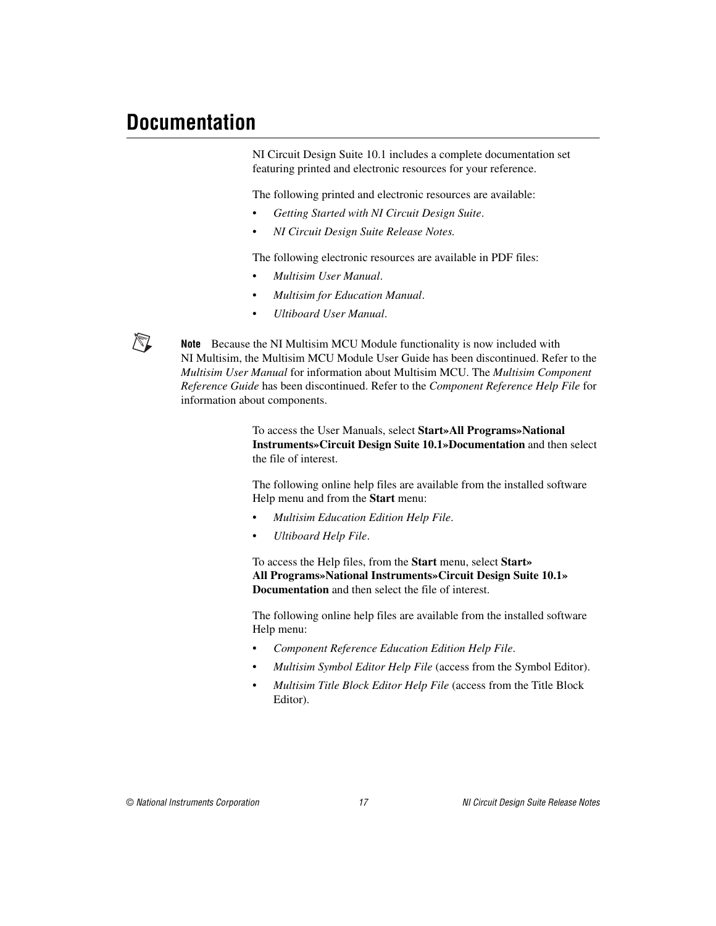# <span id="page-16-0"></span>**Documentation**

/\\

NI Circuit Design Suite 10.1 includes a complete documentation set featuring printed and electronic resources for your reference.

The following printed and electronic resources are available:

- *Getting Started with NI Circuit Design Suite*.
- *NI Circuit Design Suite Release Notes.*

The following electronic resources are available in PDF files:

- *Multisim User Manual*.
- *Multisim for Education Manual*.
- *Ultiboard User Manual*.

**Note** Because the NI Multisim MCU Module functionality is now included with NI Multisim, the Multisim MCU Module User Guide has been discontinued. Refer to the *Multisim User Manual* for information about Multisim MCU. The *Multisim Component Reference Guide* has been discontinued. Refer to the *Component Reference Help File* for information about components.

> To access the User Manuals, select **Start»All Programs»National Instruments»Circuit Design Suite 10.1»Documentation** and then select the file of interest.

The following online help files are available from the installed software Help menu and from the **Start** menu:

- *Multisim Education Edition Help File*.
- *Ultiboard Help File*.

To access the Help files, from the **Start** menu, select **Start» All Programs»National Instruments»Circuit Design Suite 10.1» Documentation** and then select the file of interest.

The following online help files are available from the installed software Help menu:

- *Component Reference Education Edition Help File*.
- *Multisim Symbol Editor Help File* (access from the Symbol Editor).
- *Multisim Title Block Editor Help File* (access from the Title Block Editor).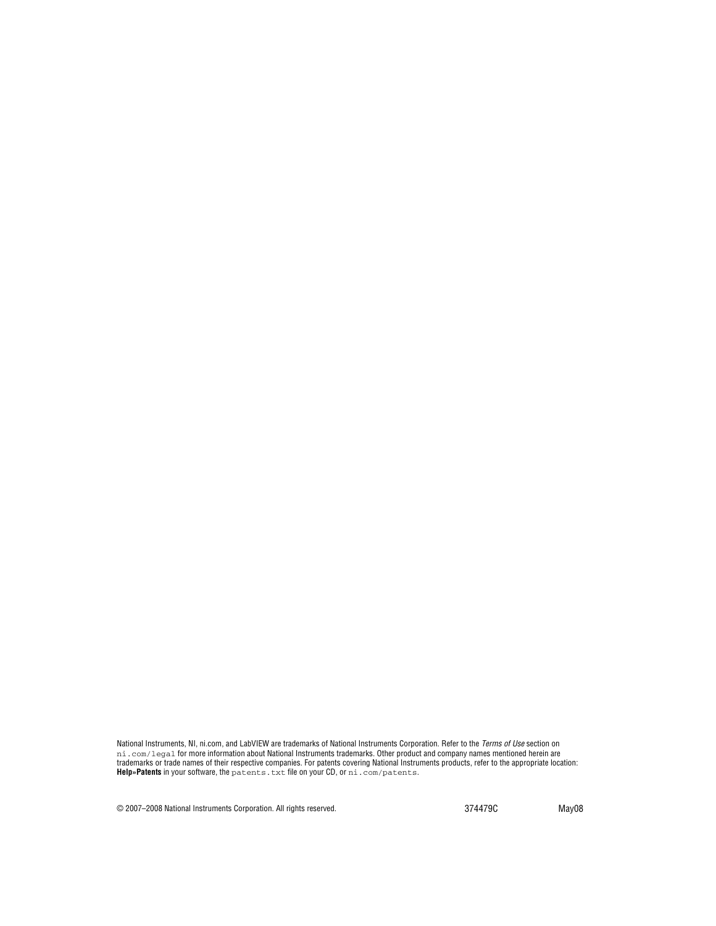National Instruments, NI, ni.com, and LabVIEW are trademarks of National Instruments Corporation. Refer to the *Terms of Use* section on ni.com/legal for more information about National Instruments trademarks. Other product and company names mentioned herein are trademarks or trade names of their respective companies. For patents covering National Instruments products, refer to the appropriate location: **Help»Patents** in your software, the patents.txt file on your CD, or ni.com/patents.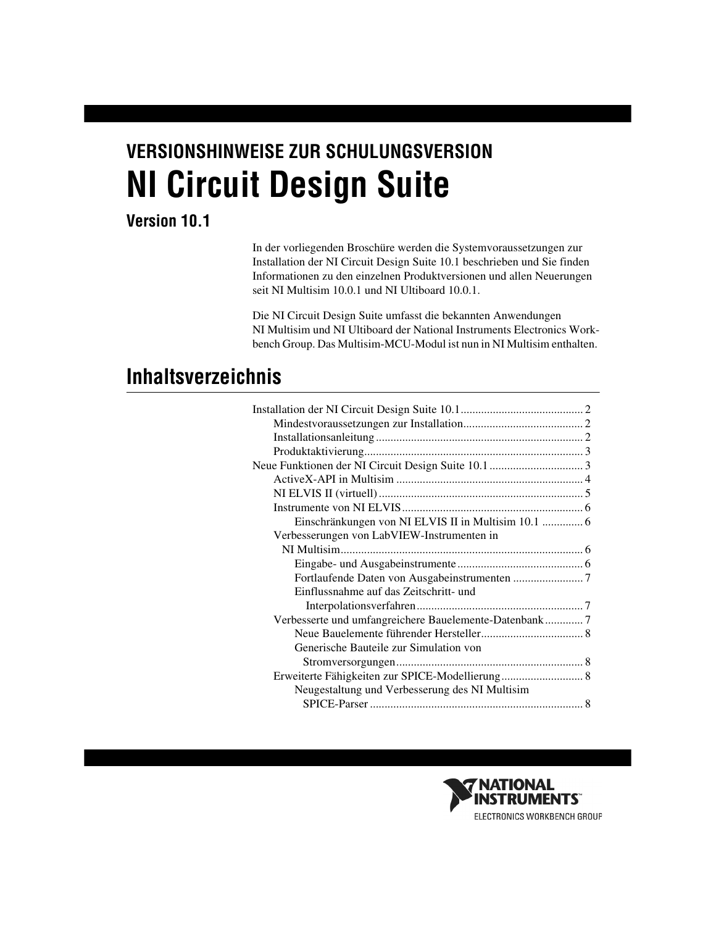# **VERSIONSHINWEISE ZUR SCHULUNGSVERSION NI Circuit Design Suite**

# **Version 10.1**

In der vorliegenden Broschüre werden die Systemvoraussetzungen zur Installation der NI Circuit Design Suite 10.1 beschrieben und Sie finden Informationen zu den einzelnen Produktversionen und allen Neuerungen seit NI Multisim 10.0.1 und NI Ultiboard 10.0.1.

Die NI Circuit Design Suite umfasst die bekannten Anwendungen NI Multisim und NI Ultiboard der National Instruments Electronics Workbench Group. Das Multisim-MCU-Modul ist nun in NI Multisim enthalten.

# **Inhaltsverzeichnis**

| Einschränkungen von NI ELVIS II in Multisim 10.1  6   |  |
|-------------------------------------------------------|--|
| Verbesserungen von LabVIEW-Instrumenten in            |  |
|                                                       |  |
|                                                       |  |
|                                                       |  |
| Einflussnahme auf das Zeitschritt- und                |  |
|                                                       |  |
| Verbesserte und umfangreichere Bauelemente-Datenbank7 |  |
|                                                       |  |
| Generische Bauteile zur Simulation von                |  |
|                                                       |  |
| Erweiterte Fähigkeiten zur SPICE-Modellierung 8       |  |
| Neugestaltung und Verbesserung des NI Multisim        |  |
|                                                       |  |
|                                                       |  |

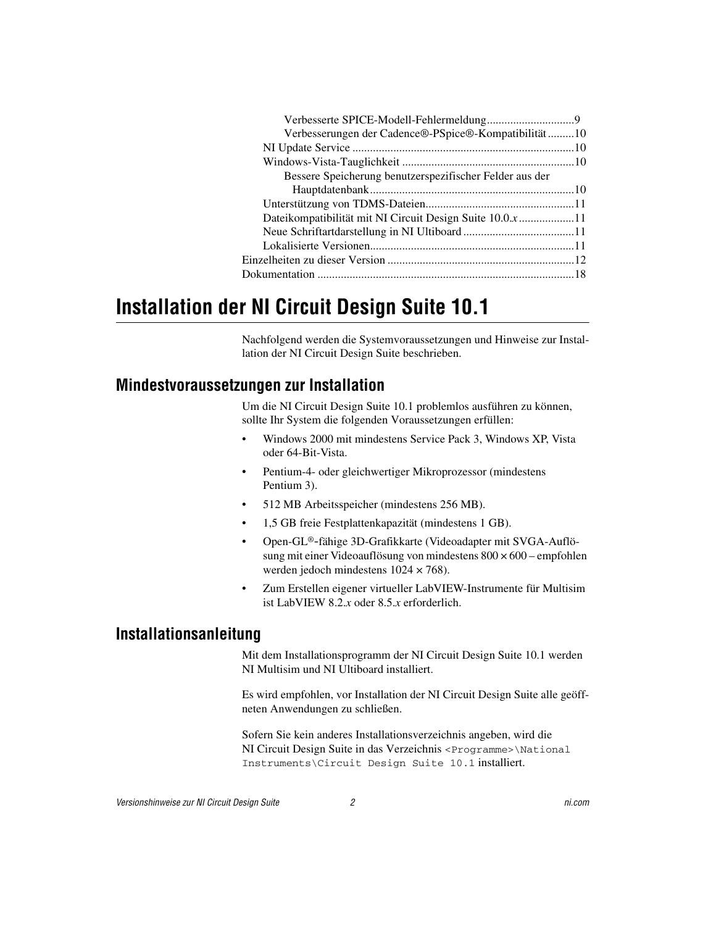| Verbesserungen der Cadence®-PSpice®-Kompatibilität10     |  |
|----------------------------------------------------------|--|
|                                                          |  |
|                                                          |  |
| Bessere Speicherung benutzerspezifischer Felder aus der  |  |
|                                                          |  |
|                                                          |  |
| Dateikompatibilität mit NI Circuit Design Suite 10.0.x11 |  |
|                                                          |  |
|                                                          |  |
|                                                          |  |
|                                                          |  |
|                                                          |  |

# <span id="page-19-0"></span>**Installation der NI Circuit Design Suite 10.1**

Nachfolgend werden die Systemvoraussetzungen und Hinweise zur Installation der NI Circuit Design Suite beschrieben.

### <span id="page-19-1"></span>**Mindestvoraussetzungen zur Installation**

Um die NI Circuit Design Suite 10.1 problemlos ausführen zu können, sollte Ihr System die folgenden Voraussetzungen erfüllen:

- Windows 2000 mit mindestens Service Pack 3, Windows XP, Vista oder 64-Bit-Vista.
- Pentium-4- oder gleichwertiger Mikroprozessor (mindestens Pentium 3).
- 512 MB Arbeitsspeicher (mindestens 256 MB).
- 1,5 GB freie Festplattenkapazität (mindestens 1 GB).
- Open-GL®-fähige 3D-Grafikkarte (Videoadapter mit SVGA-Auflösung mit einer Videoauflösung von mindestens 800 × 600 – empfohlen werden jedoch mindestens 1024 × 768).
- Zum Erstellen eigener virtueller LabVIEW-Instrumente für Multisim ist LabVIEW 8.2.*x* oder 8.5.*x* erforderlich.

#### <span id="page-19-2"></span>**Installationsanleitung**

Mit dem Installationsprogramm der NI Circuit Design Suite 10.1 werden NI Multisim und NI Ultiboard installiert.

Es wird empfohlen, vor Installation der NI Circuit Design Suite alle geöffneten Anwendungen zu schließen.

Sofern Sie kein anderes Installationsverzeichnis angeben, wird die NI Circuit Design Suite in das Verzeichnis <Programme>\National Instruments\Circuit Design Suite 10.1 installiert.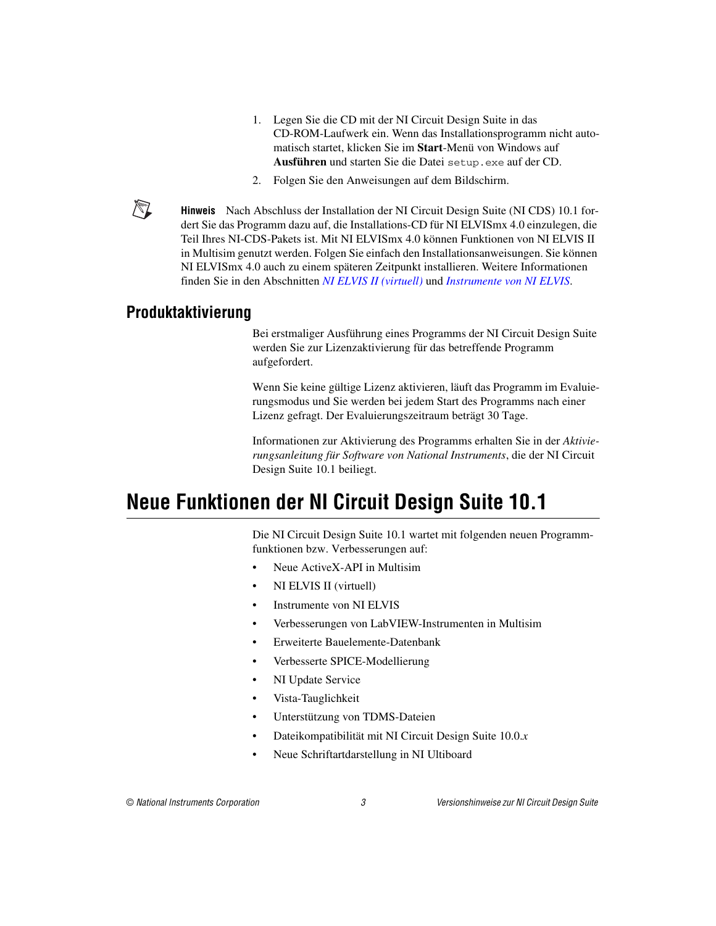- 1. Legen Sie die CD mit der NI Circuit Design Suite in das CD-ROM-Laufwerk ein. Wenn das Installationsprogramm nicht automatisch startet, klicken Sie im **Start**-Menü von Windows auf **Ausführen** und starten Sie die Datei setup.exe auf der CD.
- 2. Folgen Sie den Anweisungen auf dem Bildschirm.

**Hinweis** Nach Abschluss der Installation der NI Circuit Design Suite (NI CDS) 10.1 fordert Sie das Programm dazu auf, die Installations-CD für NI ELVISmx 4.0 einzulegen, die Teil Ihres NI-CDS-Pakets ist. Mit NI ELVISmx 4.0 können Funktionen von NI ELVIS II in Multisim genutzt werden. Folgen Sie einfach den Installationsanweisungen. Sie können NI ELVISmx 4.0 auch zu einem späteren Zeitpunkt installieren. Weitere Informationen finden Sie in den Abschnitten *[NI ELVIS II \(virtuell\)](#page-22-0)* und *[Instrumente von NI ELVIS](#page-23-0)*.

#### <span id="page-20-0"></span>**Produktaktivierung**

 $\mathbb{N}$ 

Bei erstmaliger Ausführung eines Programms der NI Circuit Design Suite werden Sie zur Lizenzaktivierung für das betreffende Programm aufgefordert.

Wenn Sie keine gültige Lizenz aktivieren, läuft das Programm im Evaluierungsmodus und Sie werden bei jedem Start des Programms nach einer Lizenz gefragt. Der Evaluierungszeitraum beträgt 30 Tage.

Informationen zur Aktivierung des Programms erhalten Sie in der *Aktivierungsanleitung für Software von National Instruments*, die der NI Circuit Design Suite 10.1 beiliegt.

# <span id="page-20-1"></span>**Neue Funktionen der NI Circuit Design Suite 10.1**

Die NI Circuit Design Suite 10.1 wartet mit folgenden neuen Programmfunktionen bzw. Verbesserungen auf:

- Neue ActiveX-API in Multisim
- NI ELVIS II (virtuell)
- Instrumente von NI ELVIS
- Verbesserungen von LabVIEW-Instrumenten in Multisim
- Erweiterte Bauelemente-Datenbank
- Verbesserte SPICE-Modellierung
- NI Update Service
- Vista-Tauglichkeit
- Unterstützung von TDMS-Dateien
- Dateikompatibilität mit NI Circuit Design Suite 10.0.*x*
- Neue Schriftartdarstellung in NI Ultiboard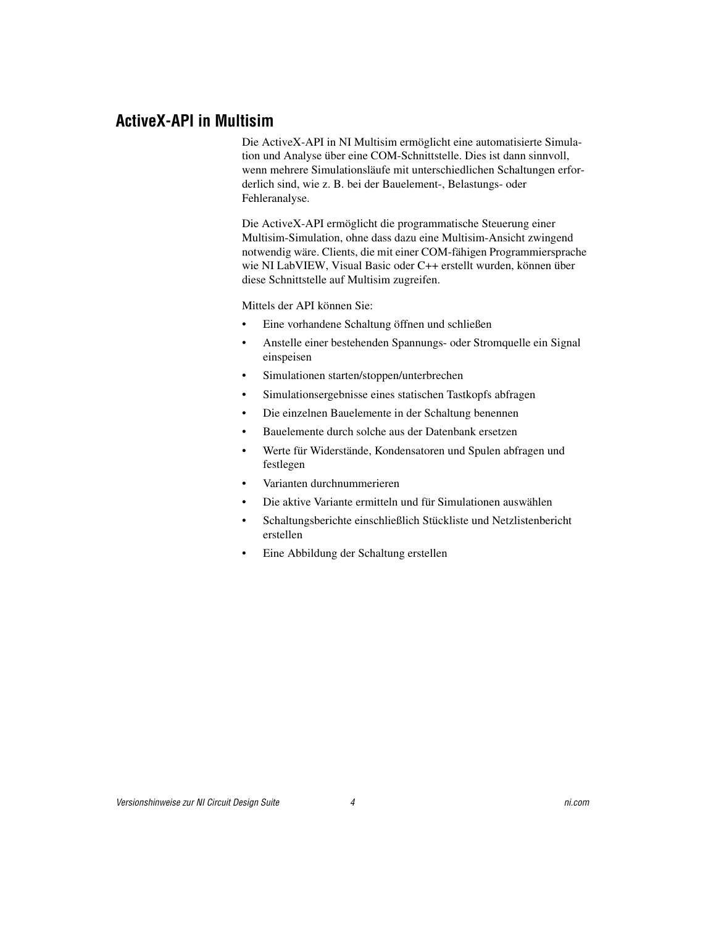#### <span id="page-21-0"></span>**ActiveX-API in Multisim**

Die ActiveX-API in NI Multisim ermöglicht eine automatisierte Simulation und Analyse über eine COM-Schnittstelle. Dies ist dann sinnvoll, wenn mehrere Simulationsläufe mit unterschiedlichen Schaltungen erforderlich sind, wie z. B. bei der Bauelement-, Belastungs- oder Fehleranalyse.

Die ActiveX-API ermöglicht die programmatische Steuerung einer Multisim-Simulation, ohne dass dazu eine Multisim-Ansicht zwingend notwendig wäre. Clients, die mit einer COM-fähigen Programmiersprache wie NI LabVIEW, Visual Basic oder C++ erstellt wurden, können über diese Schnittstelle auf Multisim zugreifen.

Mittels der API können Sie:

- Eine vorhandene Schaltung öffnen und schließen
- Anstelle einer bestehenden Spannungs- oder Stromquelle ein Signal einspeisen
- Simulationen starten/stoppen/unterbrechen
- Simulationsergebnisse eines statischen Tastkopfs abfragen
- Die einzelnen Bauelemente in der Schaltung benennen
- Bauelemente durch solche aus der Datenbank ersetzen
- Werte für Widerstände, Kondensatoren und Spulen abfragen und festlegen
- Varianten durchnummerieren
- Die aktive Variante ermitteln und für Simulationen auswählen
- Schaltungsberichte einschließlich Stückliste und Netzlistenbericht erstellen
- Eine Abbildung der Schaltung erstellen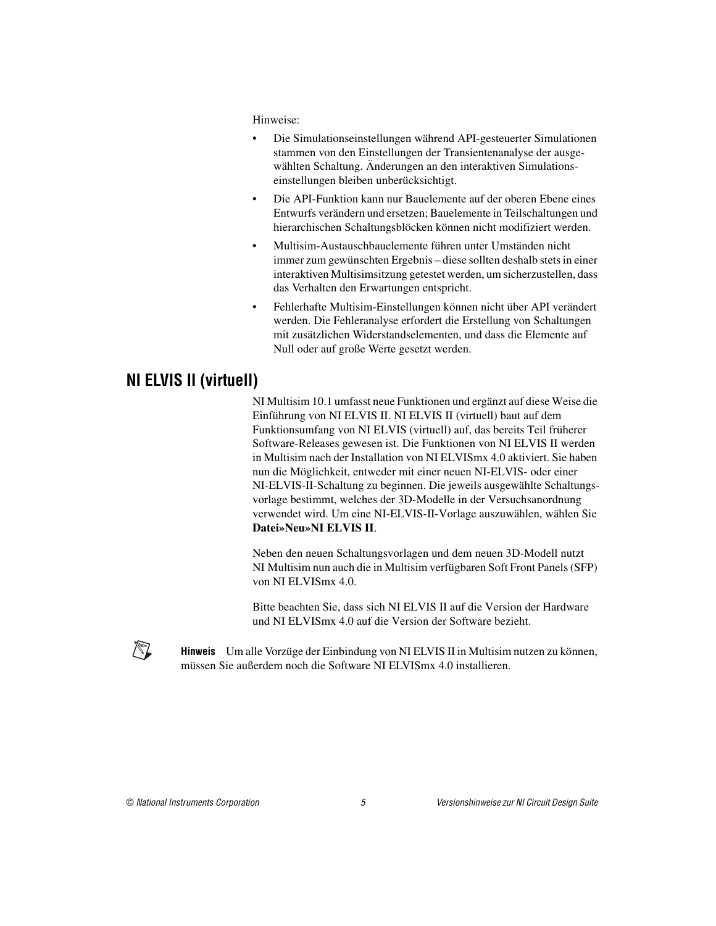Hinweise:

- Die Simulationseinstellungen während API-gesteuerter Simulationen stammen von den Einstellungen der Transientenanalyse der ausgewählten Schaltung. Änderungen an den interaktiven Simulationseinstellungen bleiben unberücksichtigt.
- Die API-Funktion kann nur Bauelemente auf der oberen Ebene eines Entwurfs verändern und ersetzen; Bauelemente in Teilschaltungen und hierarchischen Schaltungsblöcken können nicht modifiziert werden.
- Multisim-Austauschbauelemente führen unter Umständen nicht immer zum gewünschten Ergebnis – diese sollten deshalb stets in einer interaktiven Multisimsitzung getestet werden, um sicherzustellen, dass das Verhalten den Erwartungen entspricht.
- Fehlerhafte Multisim-Einstellungen können nicht über API verändert werden. Die Fehleranalyse erfordert die Erstellung von Schaltungen mit zusätzlichen Widerstandselementen, und dass die Elemente auf Null oder auf große Werte gesetzt werden.

# <span id="page-22-0"></span>**NI ELVIS II (virtuell)**

NI Multisim 10.1 umfasst neue Funktionen und ergänzt auf diese Weise die Einführung von NI ELVIS II. NI ELVIS II (virtuell) baut auf dem Funktionsumfang von NI ELVIS (virtuell) auf, das bereits Teil früherer Software-Releases gewesen ist. Die Funktionen von NI ELVIS II werden in Multisim nach der Installation von NI ELVISmx 4.0 aktiviert. Sie haben nun die Möglichkeit, entweder mit einer neuen NI-ELVIS- oder einer NI-ELVIS-II-Schaltung zu beginnen. Die jeweils ausgewählte Schaltungsvorlage bestimmt, welches der 3D-Modelle in der Versuchsanordnung verwendet wird. Um eine NI-ELVIS-II-Vorlage auszuwählen, wählen Sie **Datei»Neu»NI ELVIS II**.

Neben den neuen Schaltungsvorlagen und dem neuen 3D-Modell nutzt NI Multisim nun auch die in Multisim verfügbaren Soft Front Panels (SFP) von NI ELVISmx 4.0.

Bitte beachten Sie, dass sich NI ELVIS II auf die Version der Hardware und NI ELVISmx 4.0 auf die Version der Software bezieht.

**Hinweis** Um alle Vorzüge der Einbindung von NI ELVIS II in Multisim nutzen zu können, müssen Sie außerdem noch die Software NI ELVISmx 4.0 installieren.



 $\mathbb{N}$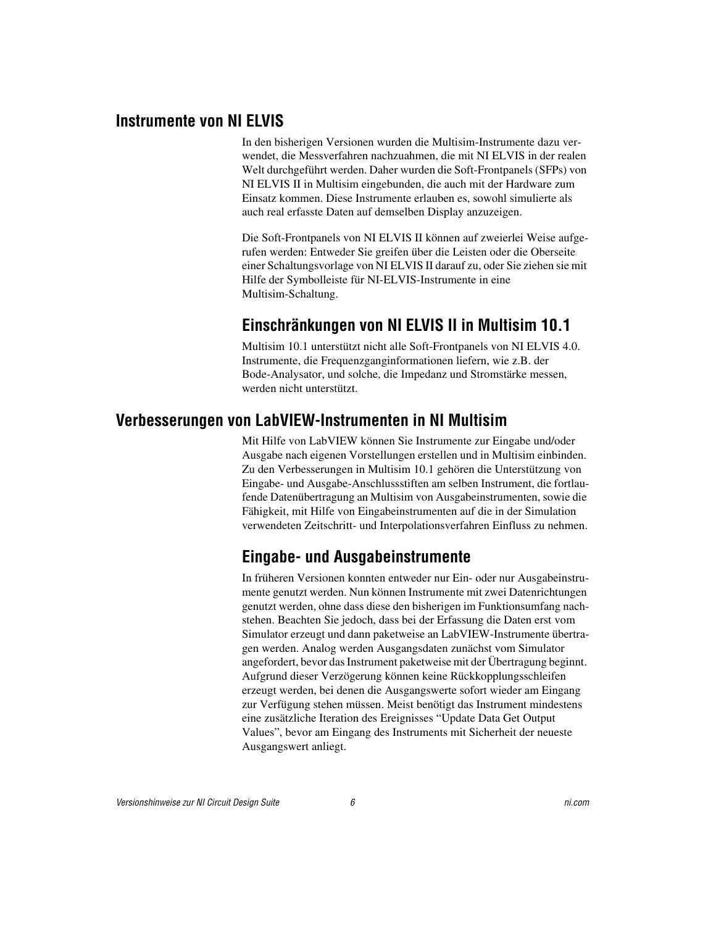#### <span id="page-23-0"></span>**Instrumente von NI ELVIS**

In den bisherigen Versionen wurden die Multisim-Instrumente dazu verwendet, die Messverfahren nachzuahmen, die mit NI ELVIS in der realen Welt durchgeführt werden. Daher wurden die Soft-Frontpanels (SFPs) von NI ELVIS II in Multisim eingebunden, die auch mit der Hardware zum Einsatz kommen. Diese Instrumente erlauben es, sowohl simulierte als auch real erfasste Daten auf demselben Display anzuzeigen.

Die Soft-Frontpanels von NI ELVIS II können auf zweierlei Weise aufgerufen werden: Entweder Sie greifen über die Leisten oder die Oberseite einer Schaltungsvorlage von NI ELVIS II darauf zu, oder Sie ziehen sie mit Hilfe der Symbolleiste für NI-ELVIS-Instrumente in eine Multisim-Schaltung.

# **Einschränkungen von NI ELVIS II in Multisim 10.1**

Multisim 10.1 unterstützt nicht alle Soft-Frontpanels von NI ELVIS 4.0. Instrumente, die Frequenzganginformationen liefern, wie z.B. der Bode-Analysator, und solche, die Impedanz und Stromstärke messen, werden nicht unterstützt.

### <span id="page-23-2"></span><span id="page-23-1"></span>**Verbesserungen von LabVIEW-Instrumenten in NI Multisim**

Mit Hilfe von LabVIEW können Sie Instrumente zur Eingabe und/oder Ausgabe nach eigenen Vorstellungen erstellen und in Multisim einbinden. Zu den Verbesserungen in Multisim 10.1 gehören die Unterstützung von Eingabe- und Ausgabe-Anschlussstiften am selben Instrument, die fortlaufende Datenübertragung an Multisim von Ausgabeinstrumenten, sowie die Fähigkeit, mit Hilfe von Eingabeinstrumenten auf die in der Simulation verwendeten Zeitschritt- und Interpolationsverfahren Einfluss zu nehmen.

# <span id="page-23-3"></span>**Eingabe- und Ausgabeinstrumente**

In früheren Versionen konnten entweder nur Ein- oder nur Ausgabeinstrumente genutzt werden. Nun können Instrumente mit zwei Datenrichtungen genutzt werden, ohne dass diese den bisherigen im Funktionsumfang nachstehen. Beachten Sie jedoch, dass bei der Erfassung die Daten erst vom Simulator erzeugt und dann paketweise an LabVIEW-Instrumente übertragen werden. Analog werden Ausgangsdaten zunächst vom Simulator angefordert, bevor das Instrument paketweise mit der Übertragung beginnt. Aufgrund dieser Verzögerung können keine Rückkopplungsschleifen erzeugt werden, bei denen die Ausgangswerte sofort wieder am Eingang zur Verfügung stehen müssen. Meist benötigt das Instrument mindestens eine zusätzliche Iteration des Ereignisses "Update Data Get Output Values", bevor am Eingang des Instruments mit Sicherheit der neueste Ausgangswert anliegt.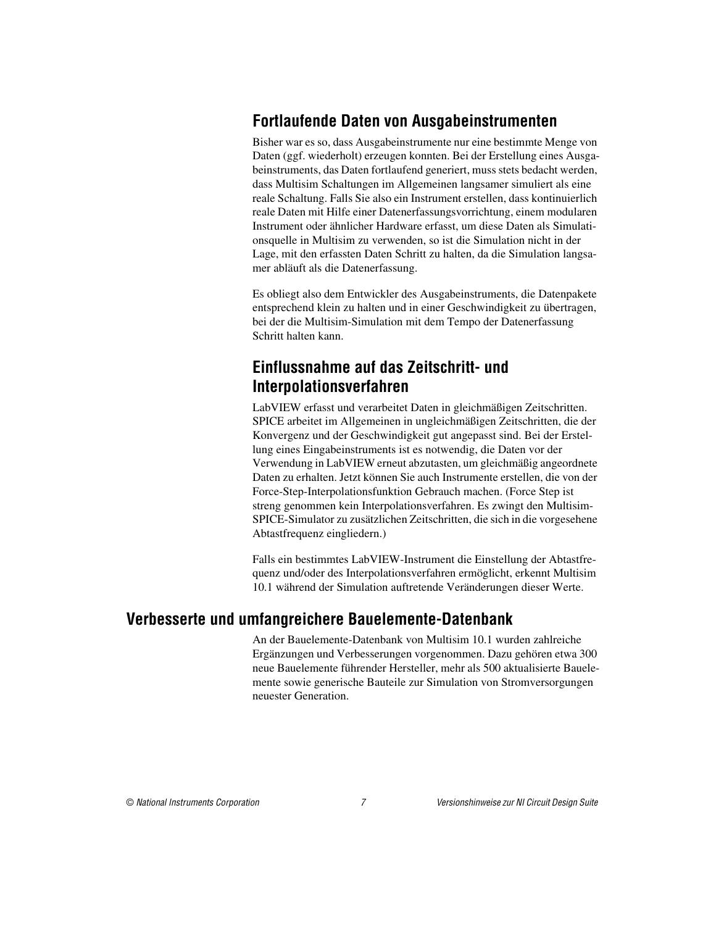# <span id="page-24-0"></span>**Fortlaufende Daten von Ausgabeinstrumenten**

Bisher war es so, dass Ausgabeinstrumente nur eine bestimmte Menge von Daten (ggf. wiederholt) erzeugen konnten. Bei der Erstellung eines Ausgabeinstruments, das Daten fortlaufend generiert, muss stets bedacht werden, dass Multisim Schaltungen im Allgemeinen langsamer simuliert als eine reale Schaltung. Falls Sie also ein Instrument erstellen, dass kontinuierlich reale Daten mit Hilfe einer Datenerfassungsvorrichtung, einem modularen Instrument oder ähnlicher Hardware erfasst, um diese Daten als Simulationsquelle in Multisim zu verwenden, so ist die Simulation nicht in der Lage, mit den erfassten Daten Schritt zu halten, da die Simulation langsamer abläuft als die Datenerfassung.

Es obliegt also dem Entwickler des Ausgabeinstruments, die Datenpakete entsprechend klein zu halten und in einer Geschwindigkeit zu übertragen, bei der die Multisim-Simulation mit dem Tempo der Datenerfassung Schritt halten kann.

### <span id="page-24-1"></span>**Einflussnahme auf das Zeitschritt- und Interpolationsverfahren**

LabVIEW erfasst und verarbeitet Daten in gleichmäßigen Zeitschritten. SPICE arbeitet im Allgemeinen in ungleichmäßigen Zeitschritten, die der Konvergenz und der Geschwindigkeit gut angepasst sind. Bei der Erstellung eines Eingabeinstruments ist es notwendig, die Daten vor der Verwendung in LabVIEW erneut abzutasten, um gleichmäßig angeordnete Daten zu erhalten. Jetzt können Sie auch Instrumente erstellen, die von der Force-Step-Interpolationsfunktion Gebrauch machen. (Force Step ist streng genommen kein Interpolationsverfahren. Es zwingt den Multisim-SPICE-Simulator zu zusätzlichen Zeitschritten, die sich in die vorgesehene Abtastfrequenz eingliedern.)

Falls ein bestimmtes LabVIEW-Instrument die Einstellung der Abtastfrequenz und/oder des Interpolationsverfahren ermöglicht, erkennt Multisim 10.1 während der Simulation auftretende Veränderungen dieser Werte.

#### <span id="page-24-2"></span>**Verbesserte und umfangreichere Bauelemente-Datenbank**

An der Bauelemente-Datenbank von Multisim 10.1 wurden zahlreiche Ergänzungen und Verbesserungen vorgenommen. Dazu gehören etwa 300 neue Bauelemente führender Hersteller, mehr als 500 aktualisierte Bauelemente sowie generische Bauteile zur Simulation von Stromversorgungen neuester Generation.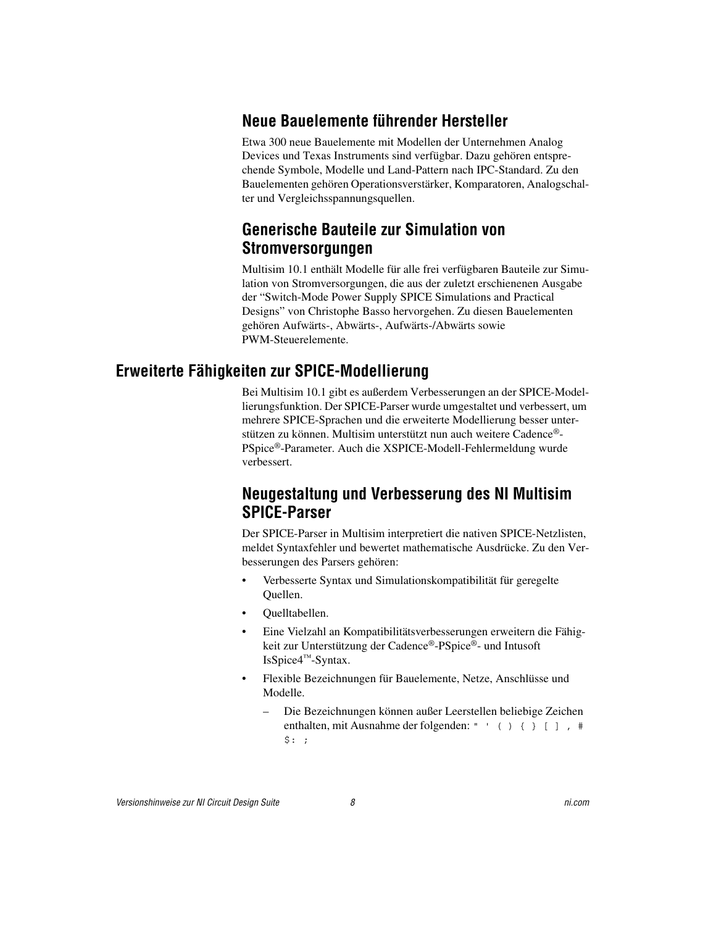# <span id="page-25-0"></span>**Neue Bauelemente führender Hersteller**

Etwa 300 neue Bauelemente mit Modellen der Unternehmen Analog Devices und Texas Instruments sind verfügbar. Dazu gehören entsprechende Symbole, Modelle und Land-Pattern nach IPC-Standard. Zu den Bauelementen gehören Operationsverstärker, Komparatoren, Analogschalter und Vergleichsspannungsquellen.

# <span id="page-25-1"></span>**Generische Bauteile zur Simulation von Stromversorgungen**

Multisim 10.1 enthält Modelle für alle frei verfügbaren Bauteile zur Simulation von Stromversorgungen, die aus der zuletzt erschienenen Ausgabe der "Switch-Mode Power Supply SPICE Simulations and Practical Designs" von Christophe Basso hervorgehen. Zu diesen Bauelementen gehören Aufwärts-, Abwärts-, Aufwärts-/Abwärts sowie PWM-Steuerelemente.

### <span id="page-25-3"></span><span id="page-25-2"></span>**Erweiterte Fähigkeiten zur SPICE-Modellierung**

Bei Multisim 10.1 gibt es außerdem Verbesserungen an der SPICE-Modellierungsfunktion. Der SPICE-Parser wurde umgestaltet und verbessert, um mehrere SPICE-Sprachen und die erweiterte Modellierung besser unterstützen zu können. Multisim unterstützt nun auch weitere Cadence®- PSpice®-Parameter. Auch die XSPICE-Modell-Fehlermeldung wurde verbessert.

# **Neugestaltung und Verbesserung des NI Multisim SPICE-Parser**

Der SPICE-Parser in Multisim interpretiert die nativen SPICE-Netzlisten, meldet Syntaxfehler und bewertet mathematische Ausdrücke. Zu den Verbesserungen des Parsers gehören:

- Verbesserte Syntax und Simulationskompatibilität für geregelte Quellen.
- Quelltabellen.
- Eine Vielzahl an Kompatibilitätsverbesserungen erweitern die Fähigkeit zur Unterstützung der Cadence®-PSpice®- und Intusoft IsSpice4™-Syntax.
- Flexible Bezeichnungen für Bauelemente, Netze, Anschlüsse und Modelle.
	- Die Bezeichnungen können außer Leerstellen beliebige Zeichen enthalten, mit Ausnahme der folgenden: " ' ( ) { } [ ], #  $$:$  ;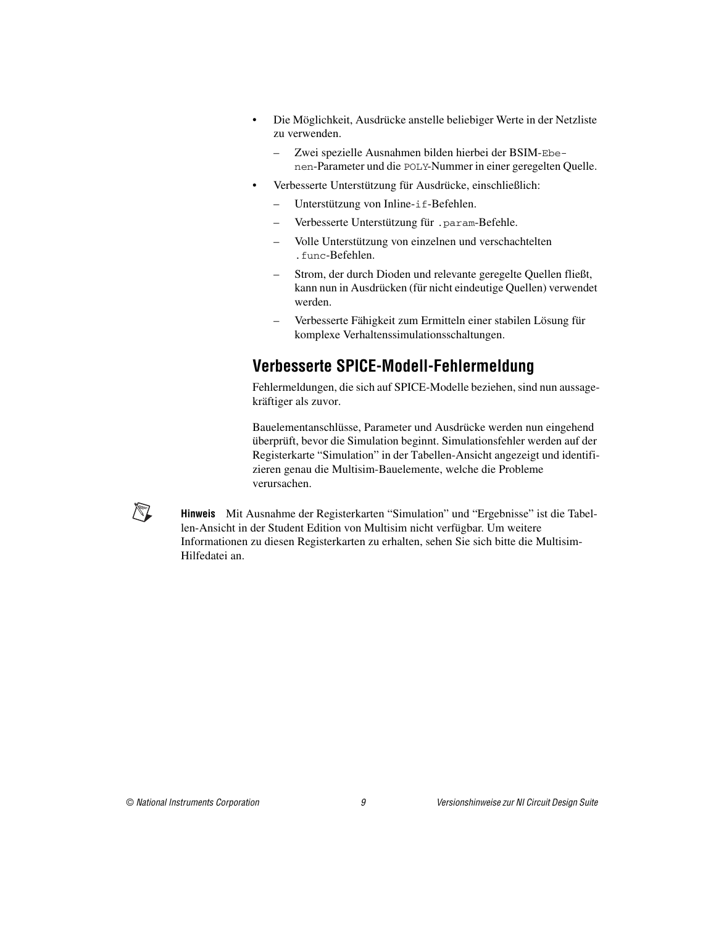- Die Möglichkeit, Ausdrücke anstelle beliebiger Werte in der Netzliste zu verwenden.
	- Zwei spezielle Ausnahmen bilden hierbei der BSIM-Ebenen-Parameter und die POLY-Nummer in einer geregelten Quelle.
- Verbesserte Unterstützung für Ausdrücke, einschließlich:
	- Unterstützung von Inline-if-Befehlen.
	- Verbesserte Unterstützung für .param-Befehle.
	- Volle Unterstützung von einzelnen und verschachtelten .func-Befehlen.
	- Strom, der durch Dioden und relevante geregelte Quellen fließt, kann nun in Ausdrücken (für nicht eindeutige Quellen) verwendet werden.
	- Verbesserte Fähigkeit zum Ermitteln einer stabilen Lösung für komplexe Verhaltenssimulationsschaltungen.

# <span id="page-26-0"></span>**Verbesserte SPICE-Modell-Fehlermeldung**

Fehlermeldungen, die sich auf SPICE-Modelle beziehen, sind nun aussagekräftiger als zuvor.

Bauelementanschlüsse, Parameter und Ausdrücke werden nun eingehend überprüft, bevor die Simulation beginnt. Simulationsfehler werden auf der Registerkarte "Simulation" in der Tabellen-Ansicht angezeigt und identifizieren genau die Multisim-Bauelemente, welche die Probleme verursachen.

 $\mathbb{N}$ 

**Hinweis** Mit Ausnahme der Registerkarten "Simulation" und "Ergebnisse" ist die Tabellen-Ansicht in der Student Edition von Multisim nicht verfügbar. Um weitere Informationen zu diesen Registerkarten zu erhalten, sehen Sie sich bitte die Multisim-Hilfedatei an.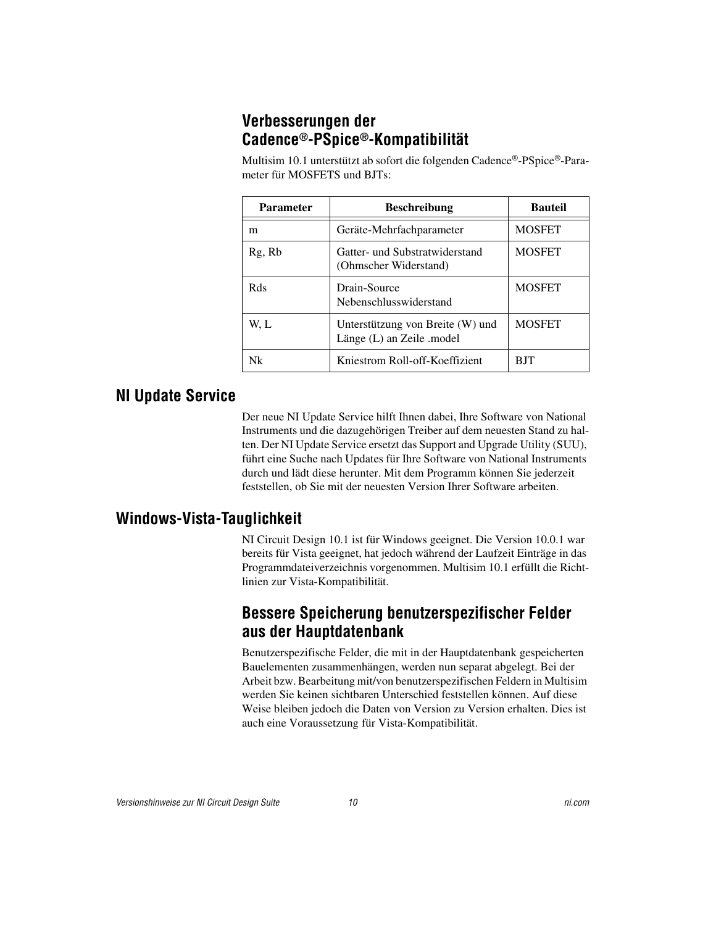# <span id="page-27-0"></span>**Verbesserungen der Cadence®-PSpice®-Kompatibilität**

Multisim 10.1 unterstützt ab sofort die folgenden Cadence®-PSpice®-Parameter für MOSFETS und BJTs:

| <b>Parameter</b> | <b>Beschreibung</b>                                           | <b>Bauteil</b> |
|------------------|---------------------------------------------------------------|----------------|
| m                | Geräte-Mehrfachparameter                                      | <b>MOSFET</b>  |
| Rg, Rb           | Gatter- und Substratwiderstand<br>(Ohmscher Widerstand)       | <b>MOSFET</b>  |
| Rds              | Drain-Source<br>Nebenschlusswiderstand                        | <b>MOSFET</b>  |
| W. L             | Unterstützung von Breite (W) und<br>Länge (L) an Zeile .model | <b>MOSFET</b>  |
| Nk               | Kniestrom Roll-off-Koeffizient                                | BIT            |

# <span id="page-27-1"></span>**NI Update Service**

Der neue NI Update Service hilft Ihnen dabei, Ihre Software von National Instruments und die dazugehörigen Treiber auf dem neuesten Stand zu halten. Der NI Update Service ersetzt das Support and Upgrade Utility (SUU), führt eine Suche nach Updates für Ihre Software von National Instruments durch und lädt diese herunter. Mit dem Programm können Sie jederzeit feststellen, ob Sie mit der neuesten Version Ihrer Software arbeiten.

# <span id="page-27-3"></span><span id="page-27-2"></span>**Windows-Vista-Tauglichkeit**

NI Circuit Design 10.1 ist für Windows geeignet. Die Version 10.0.1 war bereits für Vista geeignet, hat jedoch während der Laufzeit Einträge in das Programmdateiverzeichnis vorgenommen. Multisim 10.1 erfüllt die Richtlinien zur Vista-Kompatibilität.

### **Bessere Speicherung benutzerspezifischer Felder aus der Hauptdatenbank**

Benutzerspezifische Felder, die mit in der Hauptdatenbank gespeicherten Bauelementen zusammenhängen, werden nun separat abgelegt. Bei der Arbeit bzw. Bearbeitung mit/von benutzerspezifischen Feldern in Multisim werden Sie keinen sichtbaren Unterschied feststellen können. Auf diese Weise bleiben jedoch die Daten von Version zu Version erhalten. Dies ist auch eine Voraussetzung für Vista-Kompatibilität.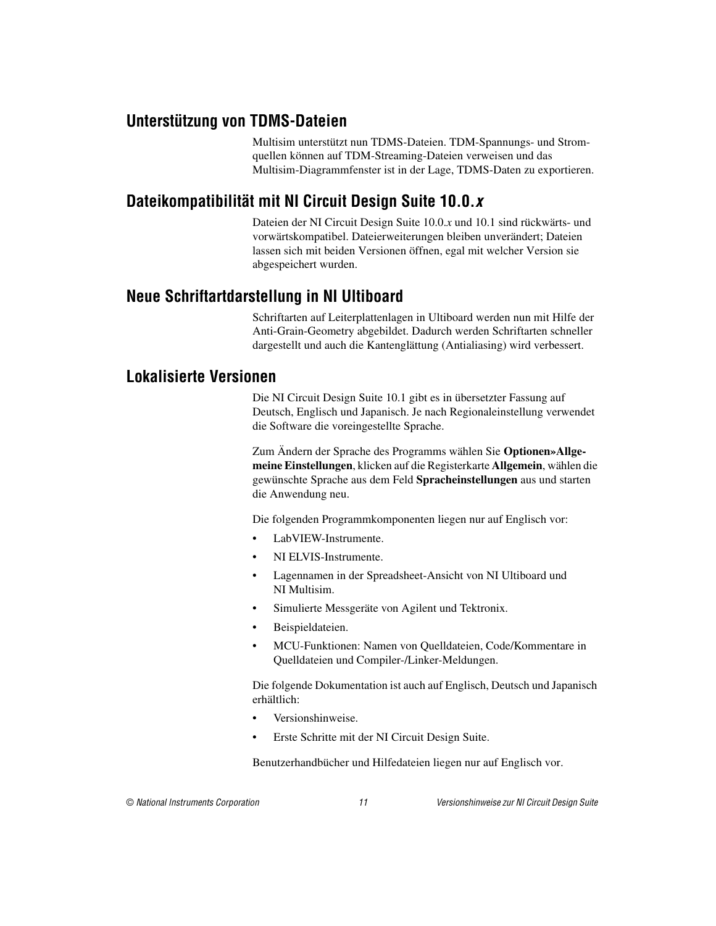# <span id="page-28-0"></span>**Unterstützung von TDMS-Dateien**

Multisim unterstützt nun TDMS-Dateien. TDM-Spannungs- und Stromquellen können auf TDM-Streaming-Dateien verweisen und das Multisim-Diagrammfenster ist in der Lage, TDMS-Daten zu exportieren.

# <span id="page-28-1"></span>**Dateikompatibilität mit NI Circuit Design Suite 10.0.***x*

Dateien der NI Circuit Design Suite 10.0.*x* und 10.1 sind rückwärts- und vorwärtskompatibel. Dateierweiterungen bleiben unverändert; Dateien lassen sich mit beiden Versionen öffnen, egal mit welcher Version sie abgespeichert wurden.

#### <span id="page-28-2"></span>**Neue Schriftartdarstellung in NI Ultiboard**

Schriftarten auf Leiterplattenlagen in Ultiboard werden nun mit Hilfe der Anti-Grain-Geometry abgebildet. Dadurch werden Schriftarten schneller dargestellt und auch die Kantenglättung (Antialiasing) wird verbessert.

#### <span id="page-28-3"></span>**Lokalisierte Versionen**

Die NI Circuit Design Suite 10.1 gibt es in übersetzter Fassung auf Deutsch, Englisch und Japanisch. Je nach Regionaleinstellung verwendet die Software die voreingestellte Sprache.

Zum Ändern der Sprache des Programms wählen Sie **Optionen»Allgemeine Einstellungen**, klicken auf die Registerkarte **Allgemein**, wählen die gewünschte Sprache aus dem Feld **Spracheinstellungen** aus und starten die Anwendung neu.

Die folgenden Programmkomponenten liegen nur auf Englisch vor:

- LabVIEW-Instrumente.
- NI ELVIS-Instrumente.
- Lagennamen in der Spreadsheet-Ansicht von NI Ultiboard und NI Multisim.
- Simulierte Messgeräte von Agilent und Tektronix.
- Beispieldateien.
- MCU-Funktionen: Namen von Quelldateien, Code/Kommentare in Quelldateien und Compiler-/Linker-Meldungen.

Die folgende Dokumentation ist auch auf Englisch, Deutsch und Japanisch erhältlich:

- Versionshinweise.
- Erste Schritte mit der NI Circuit Design Suite.

Benutzerhandbücher und Hilfedateien liegen nur auf Englisch vor.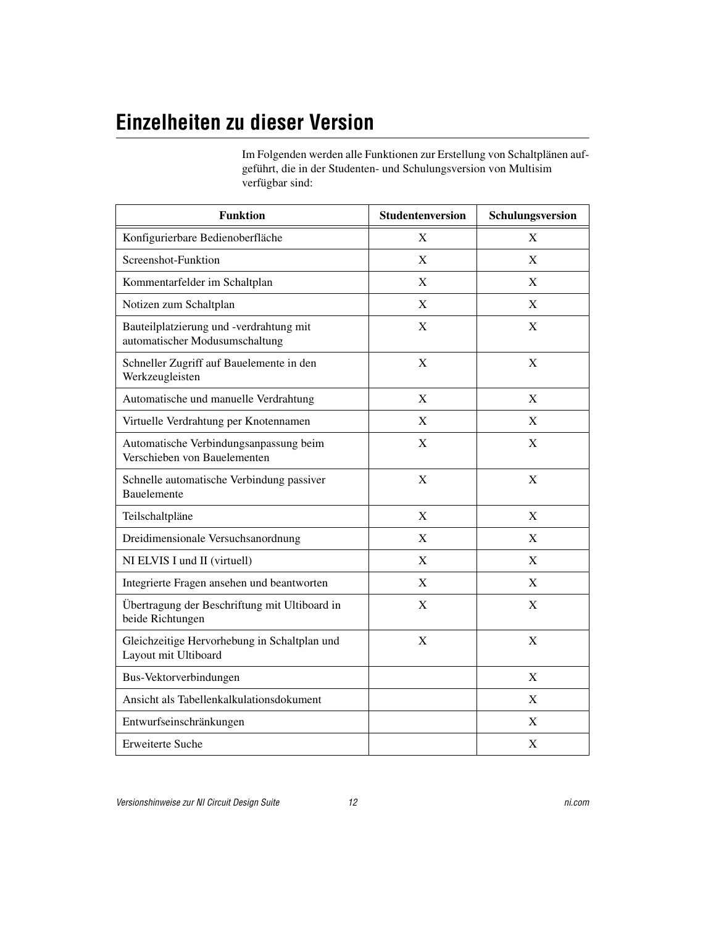# <span id="page-29-0"></span>**Einzelheiten zu dieser Version**

Im Folgenden werden alle Funktionen zur Erstellung von Schaltplänen aufgeführt, die in der Studenten- und Schulungsversion von Multisim verfügbar sind:

| <b>Funktion</b>                                                           | Studentenversion | Schulungsversion |
|---------------------------------------------------------------------------|------------------|------------------|
| Konfigurierbare Bedienoberfläche                                          | X                | X                |
| Screenshot-Funktion                                                       | X                | X                |
| Kommentarfelder im Schaltplan                                             | X                | X                |
| Notizen zum Schaltplan                                                    | X                | X                |
| Bauteilplatzierung und -verdrahtung mit<br>automatischer Modusumschaltung | X                | X                |
| Schneller Zugriff auf Bauelemente in den<br>Werkzeugleisten               | X                | X                |
| Automatische und manuelle Verdrahtung                                     | X                | X                |
| Virtuelle Verdrahtung per Knotennamen                                     | X                | X                |
| Automatische Verbindungsanpassung beim<br>Verschieben von Bauelementen    | X                | X                |
| Schnelle automatische Verbindung passiver<br>Bauelemente                  | X                | X                |
| Teilschaltpläne                                                           | X                | X                |
| Dreidimensionale Versuchsanordnung                                        | X                | X                |
| NI ELVIS I und II (virtuell)                                              | X                | X                |
| Integrierte Fragen ansehen und beantworten                                | X                | X                |
| Übertragung der Beschriftung mit Ultiboard in<br>beide Richtungen         | X                | X                |
| Gleichzeitige Hervorhebung in Schaltplan und<br>Layout mit Ultiboard      | $\mathbf X$      | $\mathbf X$      |
| Bus-Vektorverbindungen                                                    |                  | X                |
| Ansicht als Tabellenkalkulationsdokument                                  |                  | X                |
| Entwurfseinschränkungen                                                   |                  | X                |
| Erweiterte Suche                                                          |                  | $\mathbf X$      |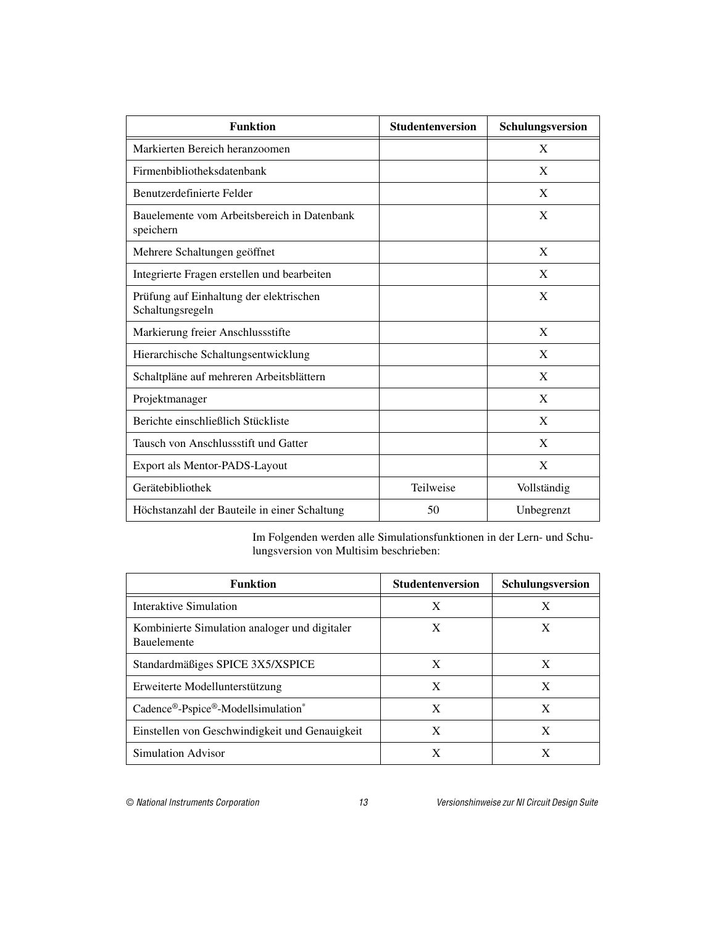| <b>Funktion</b>                                             | <b>Studentenversion</b> | Schulungsversion |
|-------------------------------------------------------------|-------------------------|------------------|
| Markierten Bereich heranzoomen                              |                         | X                |
| Firmenbibliotheksdatenbank                                  |                         | X                |
| Benutzerdefinierte Felder                                   |                         | X                |
| Bauelemente vom Arbeitsbereich in Datenbank<br>speichern    |                         | X                |
| Mehrere Schaltungen geöffnet                                |                         | X                |
| Integrierte Fragen erstellen und bearbeiten                 |                         | X                |
| Prüfung auf Einhaltung der elektrischen<br>Schaltungsregeln |                         | X                |
| Markierung freier Anschlussstifte                           |                         | X                |
| Hierarchische Schaltungsentwicklung                         |                         | X                |
| Schaltpläne auf mehreren Arbeitsblättern                    |                         | X                |
| Projektmanager                                              |                         | X                |
| Berichte einschließlich Stückliste                          |                         | X                |
| Tausch von Anschlussstift und Gatter                        |                         | X                |
| Export als Mentor-PADS-Layout                               |                         | X                |
| Gerätebibliothek                                            | Teilweise               | Vollständig      |
| Höchstanzahl der Bauteile in einer Schaltung                | 50                      | Unbegrenzt       |

Im Folgenden werden alle Simulationsfunktionen in der Lern- und Schulungsversion von Multisim beschrieben:

| <b>Funktion</b>                                                     | <b>Studentenversion</b> | Schulungsversion |
|---------------------------------------------------------------------|-------------------------|------------------|
| Interaktive Simulation                                              | X                       | X                |
| Kombinierte Simulation analoger und digitaler<br><b>Bauelemente</b> | X                       | X                |
| Standardmäßiges SPICE 3X5/XSPICE                                    | X                       | X                |
| Erweiterte Modellunterstützung                                      | X                       | X                |
| Cadence®-Pspice®-Modellsimulation*                                  | X                       | X                |
| Einstellen von Geschwindigkeit und Genauigkeit                      | X                       | X                |
| Simulation Advisor                                                  |                         |                  |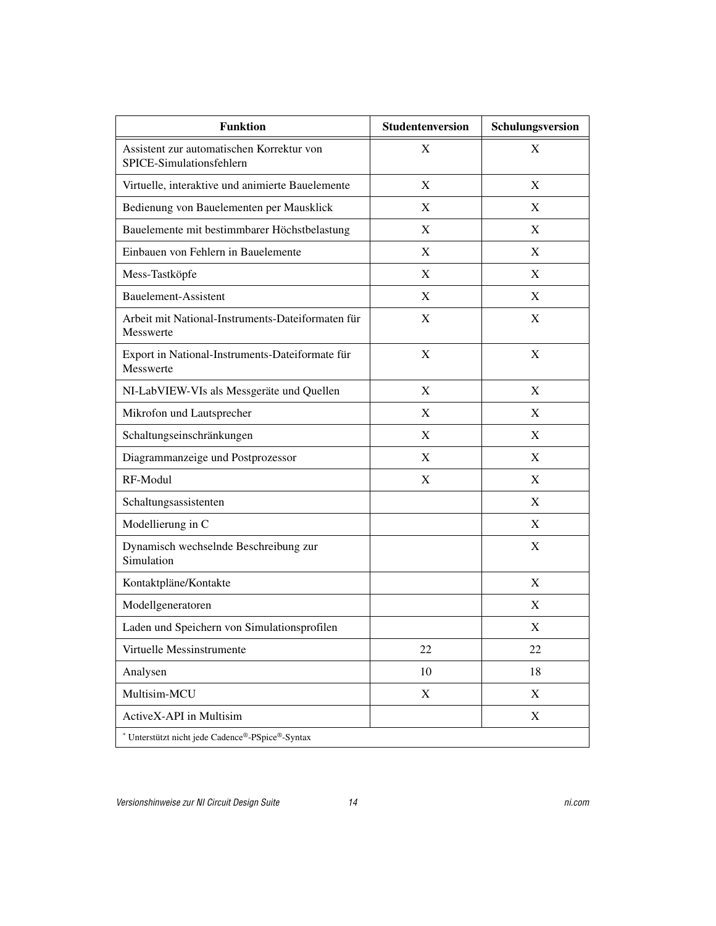| <b>Funktion</b>                                                       | Studentenversion | Schulungsversion |
|-----------------------------------------------------------------------|------------------|------------------|
| Assistent zur automatischen Korrektur von<br>SPICE-Simulationsfehlern | X                | X                |
| Virtuelle, interaktive und animierte Bauelemente                      | X                | X                |
| Bedienung von Bauelementen per Mausklick                              | X                | X                |
| Bauelemente mit bestimmbarer Höchstbelastung                          | X                | X                |
| Einbauen von Fehlern in Bauelemente                                   | X                | X                |
| Mess-Tastköpfe                                                        | X                | X                |
| <b>Bauelement-Assistent</b>                                           | X                | X                |
| Arbeit mit National-Instruments-Dateiformaten für<br>Messwerte        | X                | X                |
| Export in National-Instruments-Dateiformate für<br><b>Messwerte</b>   | X                | X                |
| NI-LabVIEW-VIs als Messgeräte und Quellen                             | X                | X                |
| Mikrofon und Lautsprecher                                             | X                | X                |
| Schaltungseinschränkungen                                             | X                | X                |
| Diagrammanzeige und Postprozessor                                     | X                | X                |
| RF-Modul                                                              | X                | X                |
| Schaltungsassistenten                                                 |                  | X                |
| Modellierung in C                                                     |                  | X                |
| Dynamisch wechselnde Beschreibung zur<br>Simulation                   |                  | X                |
| Kontaktpläne/Kontakte                                                 |                  | X                |
| Modellgeneratoren                                                     |                  | X                |
| Laden und Speichern von Simulationsprofilen                           |                  | X                |
| Virtuelle Messinstrumente                                             | 22               | 22               |
| Analysen                                                              | 10               | 18               |
| Multisim-MCU                                                          | $\mathbf X$      | X                |
| ActiveX-API in Multisim                                               |                  | $\mathbf X$      |
| * Unterstützt nicht jede Cadence®-PSpice®-Syntax                      |                  |                  |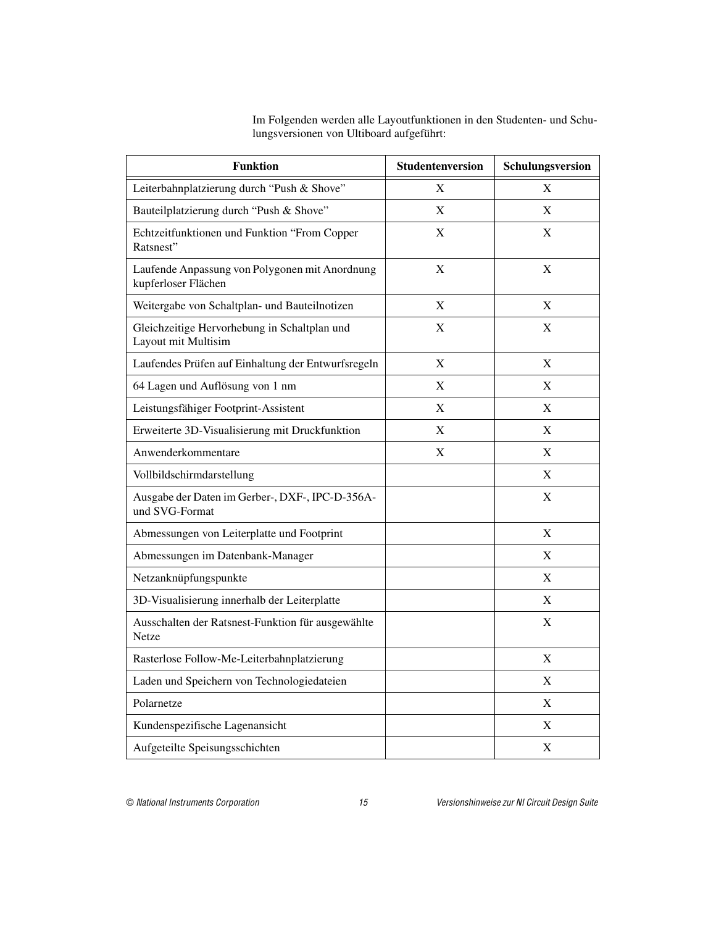Im Folgenden werden alle Layoutfunktionen in den Studenten- und Schulungsversionen von Ultiboard aufgeführt:

| <b>Funktion</b>                                                       | Studentenversion | Schulungsversion |
|-----------------------------------------------------------------------|------------------|------------------|
| Leiterbahnplatzierung durch "Push & Shove"                            | X                | X                |
| Bauteilplatzierung durch "Push & Shove"                               | X                | X                |
| Echtzeitfunktionen und Funktion "From Copper<br>Ratsnest"             | X                | X                |
| Laufende Anpassung von Polygonen mit Anordnung<br>kupferloser Flächen | X                | X                |
| Weitergabe von Schaltplan- und Bauteilnotizen                         | X                | X                |
| Gleichzeitige Hervorhebung in Schaltplan und<br>Layout mit Multisim   | X                | X                |
| Laufendes Prüfen auf Einhaltung der Entwurfsregeln                    | X                | X                |
| 64 Lagen und Auflösung von 1 nm                                       | X                | X                |
| Leistungsfähiger Footprint-Assistent                                  | X                | X                |
| Erweiterte 3D-Visualisierung mit Druckfunktion                        | X                | X                |
| Anwenderkommentare                                                    | X                | X                |
| Vollbildschirmdarstellung                                             |                  | X                |
| Ausgabe der Daten im Gerber-, DXF-, IPC-D-356A-<br>und SVG-Format     |                  | X                |
| Abmessungen von Leiterplatte und Footprint                            |                  | X                |
| Abmessungen im Datenbank-Manager                                      |                  | X                |
| Netzanknüpfungspunkte                                                 |                  | X                |
| 3D-Visualisierung innerhalb der Leiterplatte                          |                  | X                |
| Ausschalten der Ratsnest-Funktion für ausgewählte<br>Netze            |                  | X                |
| Rasterlose Follow-Me-Leiterbahnplatzierung                            |                  | X                |
| Laden und Speichern von Technologiedateien                            |                  | X                |
| Polarnetze                                                            |                  | X                |
| Kundenspezifische Lagenansicht                                        |                  | X                |
| Aufgeteilte Speisungsschichten                                        |                  | X                |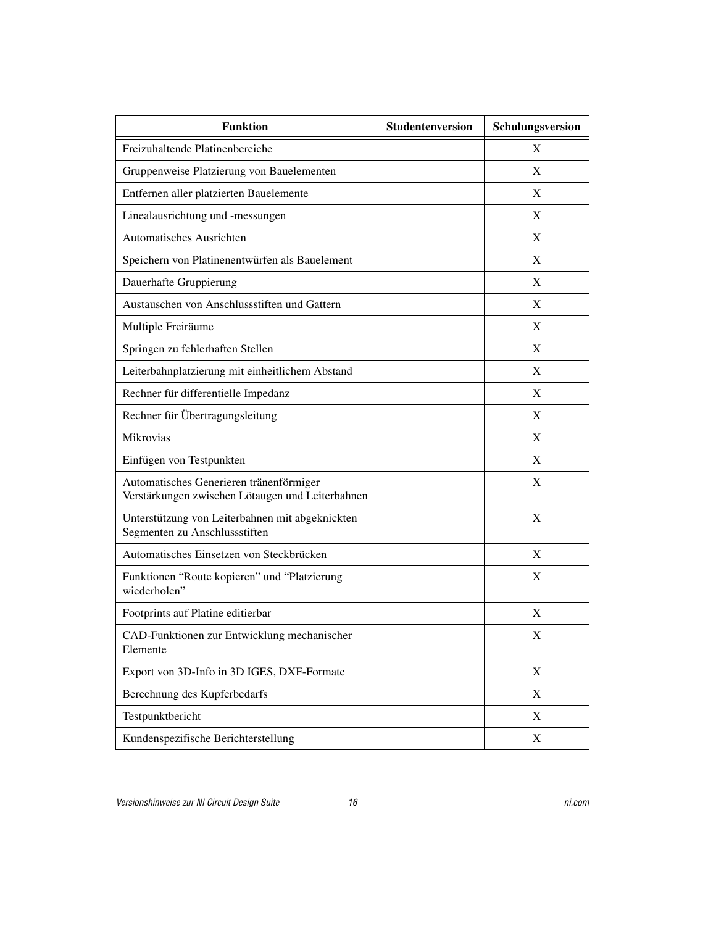| <b>Funktion</b>                                                                             | Studentenversion | Schulungsversion |
|---------------------------------------------------------------------------------------------|------------------|------------------|
| Freizuhaltende Platinenbereiche                                                             |                  | X                |
| Gruppenweise Platzierung von Bauelementen                                                   |                  | X                |
| Entfernen aller platzierten Bauelemente                                                     |                  | X                |
| Linealausrichtung und -messungen                                                            |                  | X                |
| <b>Automatisches Ausrichten</b>                                                             |                  | X                |
| Speichern von Platinenentwürfen als Bauelement                                              |                  | X                |
| Dauerhafte Gruppierung                                                                      |                  | X                |
| Austauschen von Anschlussstiften und Gattern                                                |                  | X                |
| Multiple Freiräume                                                                          |                  | X                |
| Springen zu fehlerhaften Stellen                                                            |                  | X                |
| Leiterbahnplatzierung mit einheitlichem Abstand                                             |                  | X                |
| Rechner für differentielle Impedanz                                                         |                  | X                |
| Rechner für Übertragungsleitung                                                             |                  | X                |
| Mikrovias                                                                                   |                  | X                |
| Einfügen von Testpunkten                                                                    |                  | X                |
| Automatisches Generieren tränenförmiger<br>Verstärkungen zwischen Lötaugen und Leiterbahnen |                  | X                |
| Unterstützung von Leiterbahnen mit abgeknickten<br>Segmenten zu Anschlussstiften            |                  | X                |
| Automatisches Einsetzen von Steckbrücken                                                    |                  | X                |
| Funktionen "Route kopieren" und "Platzierung<br>wiederholen"                                |                  | X                |
| Footprints auf Platine editierbar                                                           |                  | X                |
| CAD-Funktionen zur Entwicklung mechanischer<br>Elemente                                     |                  | Х                |
| Export von 3D-Info in 3D IGES, DXF-Formate                                                  |                  | $\boldsymbol{X}$ |
| Berechnung des Kupferbedarfs                                                                |                  | $\boldsymbol{X}$ |
| Testpunktbericht                                                                            |                  | $\boldsymbol{X}$ |
| Kundenspezifische Berichterstellung                                                         |                  | X                |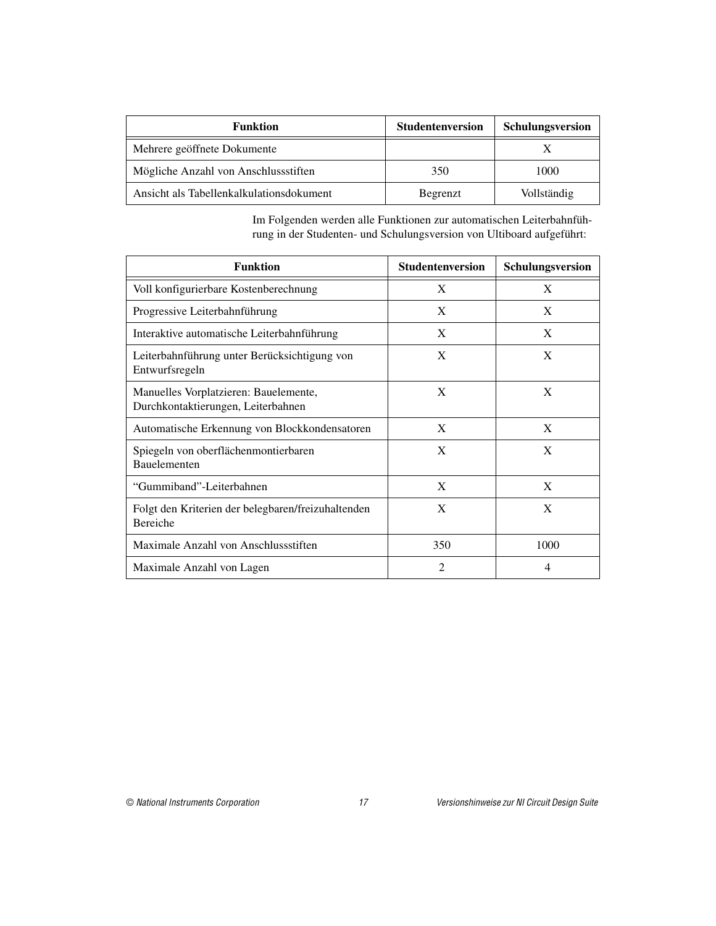| <b>Funktion</b>                          | <b>Studentenversion</b> | <b>Schulungsversion</b> |
|------------------------------------------|-------------------------|-------------------------|
| Mehrere geöffnete Dokumente              |                         |                         |
| Mögliche Anzahl von Anschlussstiften     | 350                     | 1000                    |
| Ansicht als Tabellenkalkulationsdokument | Begrenzt                | Vollständig             |

Im Folgenden werden alle Funktionen zur automatischen Leiterbahnführung in der Studenten- und Schulungsversion von Ultiboard aufgeführt:

| <b>Funktion</b>                                                             | <b>Studentenversion</b> | Schulungsversion |
|-----------------------------------------------------------------------------|-------------------------|------------------|
| Voll konfigurierbare Kostenberechnung                                       | X                       | X                |
| Progressive Leiterbahnführung                                               | X                       | X                |
| Interaktive automatische Leiterbahnführung                                  | X                       | X                |
| Leiterbahnführung unter Berücksichtigung von<br>Entwurfsregeln              | X                       | X                |
| Manuelles Vorplatzieren: Bauelemente,<br>Durchkontaktierungen, Leiterbahnen | X                       | X                |
| Automatische Erkennung von Blockkondensatoren                               | X                       | X                |
| Spiegeln von oberflächenmontierbaren<br><b>Bauelementen</b>                 | $\mathbf{X}$            | X                |
| "Gummiband"-Leiterbahnen                                                    | X                       | X                |
| Folgt den Kriterien der belegbaren/freizuhaltenden<br>Bereiche              | X                       | X                |
| Maximale Anzahl von Anschlussstiften                                        | 350                     | 1000             |
| Maximale Anzahl von Lagen                                                   | 2                       | 4                |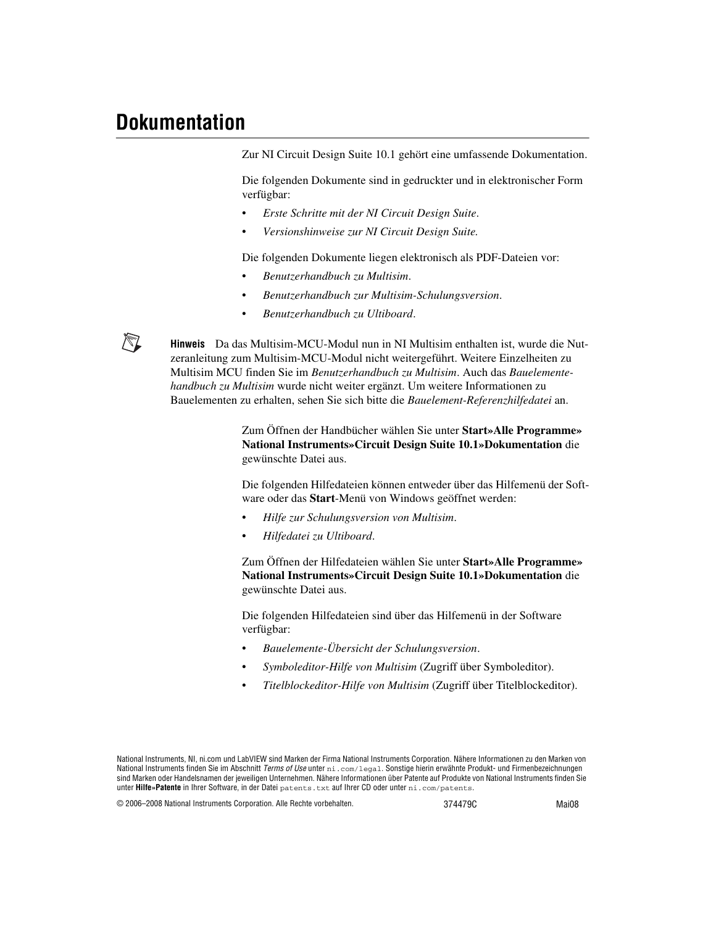# <span id="page-35-0"></span>**Dokumentation**

∧∡

Zur NI Circuit Design Suite 10.1 gehört eine umfassende Dokumentation.

Die folgenden Dokumente sind in gedruckter und in elektronischer Form verfügbar:

- *Erste Schritte mit der NI Circuit Design Suite*.
- *Versionshinweise zur NI Circuit Design Suite.*

Die folgenden Dokumente liegen elektronisch als PDF-Dateien vor:

- *Benutzerhandbuch zu Multisim*.
- *Benutzerhandbuch zur Multisim-Schulungsversion*.
- *Benutzerhandbuch zu Ultiboard*.

**Hinweis** Da das Multisim-MCU-Modul nun in NI Multisim enthalten ist, wurde die Nutzeranleitung zum Multisim-MCU-Modul nicht weitergeführt. Weitere Einzelheiten zu Multisim MCU finden Sie im *Benutzerhandbuch zu Multisim*. Auch das *Bauelementehandbuch zu Multisim* wurde nicht weiter ergänzt. Um weitere Informationen zu Bauelementen zu erhalten, sehen Sie sich bitte die *Bauelement-Referenzhilfedatei* an.

> Zum Öffnen der Handbücher wählen Sie unter **Start»Alle Programme» National Instruments»Circuit Design Suite 10.1»Dokumentation** die gewünschte Datei aus.

Die folgenden Hilfedateien können entweder über das Hilfemenü der Software oder das **Start**-Menü von Windows geöffnet werden:

- *Hilfe zur Schulungsversion von Multisim*.
- *Hilfedatei zu Ultiboard*.

Zum Öffnen der Hilfedateien wählen Sie unter **Start»Alle Programme» National Instruments»Circuit Design Suite 10.1»Dokumentation** die gewünschte Datei aus.

Die folgenden Hilfedateien sind über das Hilfemenü in der Software verfügbar:

- *Bauelemente-Übersicht der Schulungsversion*.
- *Symboleditor-Hilfe von Multisim* (Zugriff über Symboleditor).
- *Titelblockeditor-Hilfe von Multisim* (Zugriff über Titelblockeditor).

National Instruments, NI, ni.com und LabVIEW sind Marken der Firma National Instruments Corporation. Nähere Informationen zu den Marken von National Instruments finden Sie im Abschnitt *Terms of Use* unter ni.com/legal. Sonstige hierin erwähnte Produkt- und Firmenbezeichnungen sind Marken oder Handelsnamen der jeweiligen Unternehmen. Nähere Informationen über Patente auf Produkte von National Instruments finden Sie unter **Hilfe»Patente** in Ihrer Software, in der Datei patents.txt auf Ihrer CD oder unter ni.com/patents.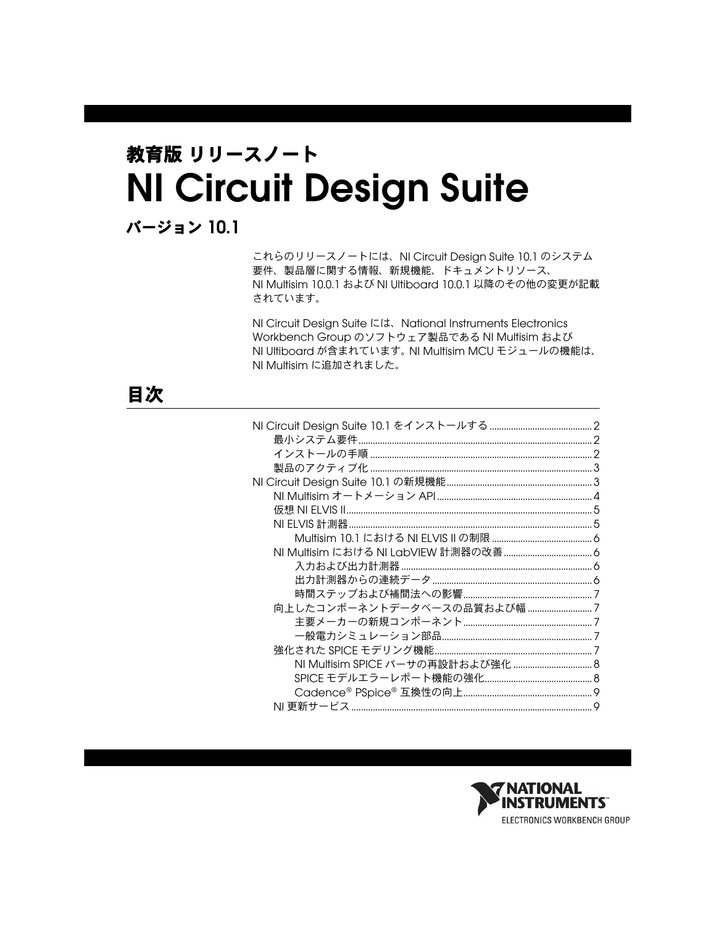# 教育版 リリースノート **NI Circuit Design Suite**

バージョン **10.1**

これらのリリースノートには、NI Circuit Design Suite 10.1 のシステム 要件、製品層に関する情報、新規機能、ドキュメントリソース、 NI Multisim 10.0.1 および NI Ultiboard 10.0.1 以降のその他の変更が記載 されています。

NI Circuit Design Suite には、National Instruments Electronics Workbench Group のソフトウェア製品である NI Multisim および NI Ultiboard が含まれています。 NI Multisim MCU モジュールの機能は、 NI Multisim に追加されました。

# 目次

| 向上したコンポーネントデータベースの品質および幅 7 |  |
|----------------------------|--|
|                            |  |
|                            |  |
|                            |  |
|                            |  |
|                            |  |
|                            |  |
|                            |  |
|                            |  |

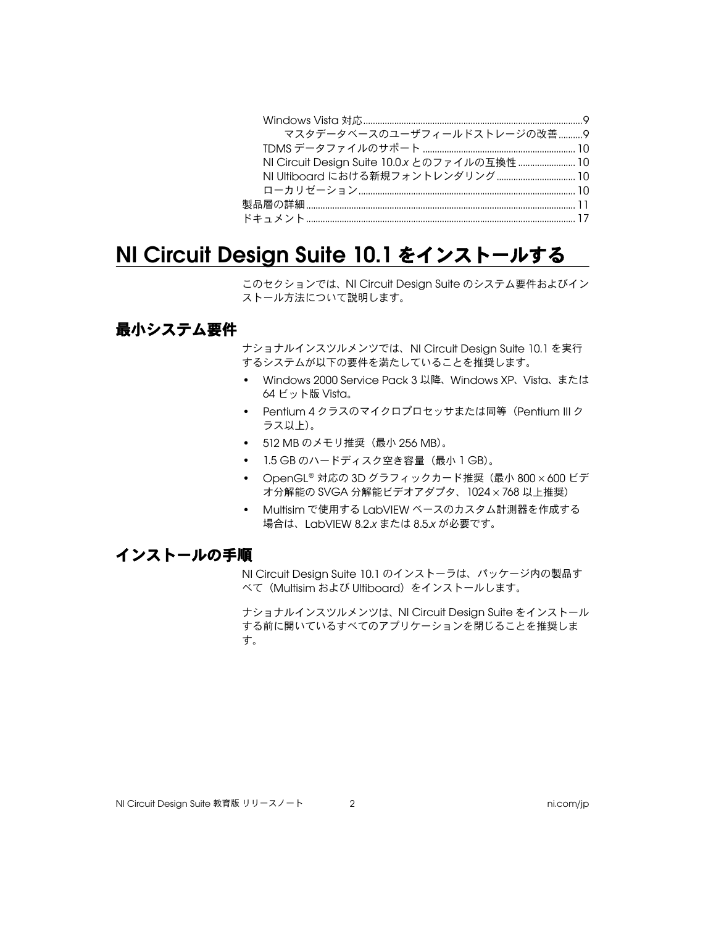| マスタデータベースのユーザフィールドストレージの改善9                   |  |
|-----------------------------------------------|--|
|                                               |  |
| NI Circuit Design Suite 10.0.x とのファイルの互換性  10 |  |
|                                               |  |
|                                               |  |
|                                               |  |
|                                               |  |
|                                               |  |

# <span id="page-37-0"></span>**NI Circuit Design Suite 10.1** をインストールする

このセクションでは、NI Circuit Design Suite のシステム要件およびイン ストール方法について説明します。

#### <span id="page-37-1"></span>最小システム要件

ナショナルインスツルメンツでは、NI Circuit Design Suite 10.1 を実行 するシステムが以下の要件を満たしていることを推奨します。

- Windows 2000 Service Pack 3 以降、Windows XP、Vista、または 64 ビット版 Vista。
- Pentium 4クラスのマイクロプロセッサまたは同等 (Pentium III ク ラス以上)。
- 512 MB のメモリ推奨 (最小 256 MB)。
- 1.5 GB のハードディスク空き容量(最小 1 GB)。
- OpenGL® 対応の 3D グラフィックカード推奨(最小 800 × 600 ビデ オ分解能の SVGA 分解能ビデオアダプタ、1024 × 768 以上推奨)
- Multisim で使用する LabVIEW ベースのカスタム計測器を作成する 場合は、LabVIEW 8.2.*x* または 8.5.*x* が必要です。

#### <span id="page-37-2"></span>インストールの手順

NI Circuit Design Suite 10.1 のインストーラは、パッケージ内の製品す べて(Multisim および Ultiboard)をインストールします。

ナショナルインスツルメンツは、NI Circuit Design Suite をインストール する前に開いているすべてのアプリケーションを閉じることを推奨しま す。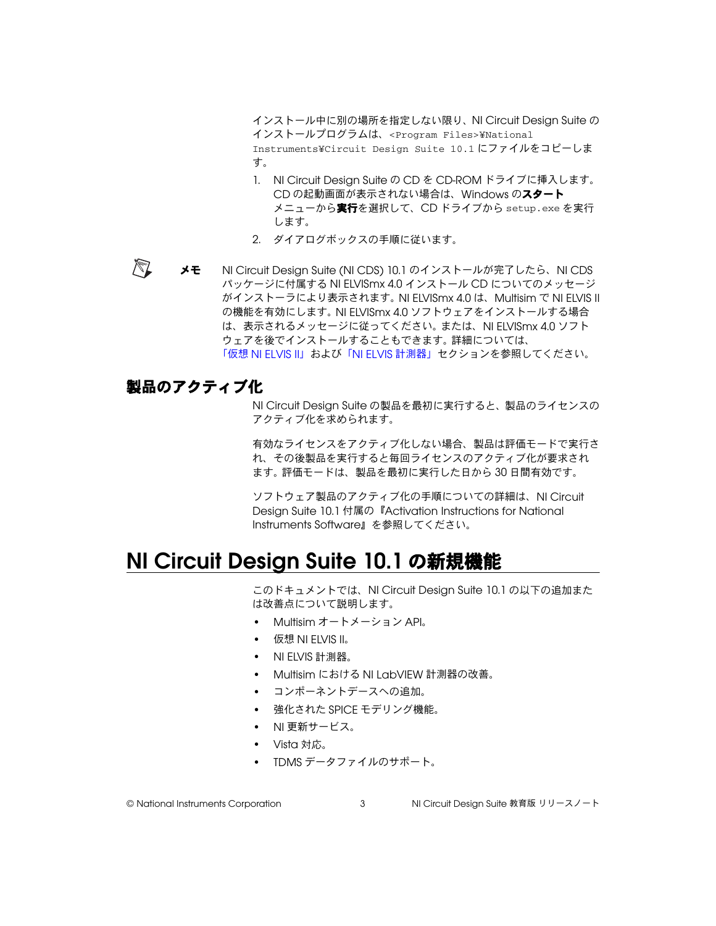インストール中に別の場所を指定しない限り、NI Circuit Design Suite の インストールプログラムは、<Program Files>¥National Instruments¥Circuit Design Suite 10.1 にファイルをコピーしま す。

- 1. NI Circuit Design Suite の CD を CD-ROM ドライブに挿入します。 CD の起動画面が表示されない場合は、Windows のスタート メニューから実行を選択して、CD ドライブから setup.exe を実行 します。
- 2. ダイアログボックスの手順に従います。
- $\mathbb{N}$ メモ NI Circuit Design Suite (NI CDS) 10.1 のインストールが完了したら、NI CDS パッケージに付属する NI ELVISmx 4.0 インストール CD についてのメッセージ がインストーラにより表示されます。 NI ELVISmx 4.0 は、Multisim で NI ELVIS II の機能を有効にします。 NI ELVISmx 4.0 ソフトウェアをインストールする場合 は、表示されるメッセージに従ってください。または、NI ELVISmx 4.0 ソフト ウェアを後でインストールすることもできます。詳細については、 「仮想 [NI ELVIS II](#page-40-0)」および「[NI ELVIS](#page-40-1) 計測器」セクションを参照してください。

#### <span id="page-38-0"></span>製品のアクティブ化

NI Circuit Design Suite の製品を最初に実行すると、製品のライセンスの アクティブ化を求められます。

有効なライセンスをアクティブ化しない場合、製品は評価モードで実行さ れ、その後製品を実行すると毎回ライセンスのアクティブ化が要求され ます。評価モードは、製品を最初に実行した日から 30 日間有効です。

ソフトウェア製品のアクティブ化の手順についての詳細は、NI Circuit Design Suite 10.1 付属の『Activation Instructions for National Instruments Software』を参照してください。

# <span id="page-38-1"></span>**NI Circuit Design Suite 10.1** の新規機能

このドキュメントでは、NI Circuit Design Suite 10.1 の以下の追加また は改善点について説明します。

- Multisim オートメーション API。
- 仮想 NI FIVIS II。
- NI ELVIS 計測器。
- Multisim における NI LabVIEW 計測器の改善。
- コンポーネントデースへの追加。
- 強化された SPICE モデリング機能。
- NI 更新サービス。
- Vista 対応。
- TDMS データファイルのサポート。

© National Instruments Corporation <br>3 NI Circuit Design Suite 教育版 リリースノート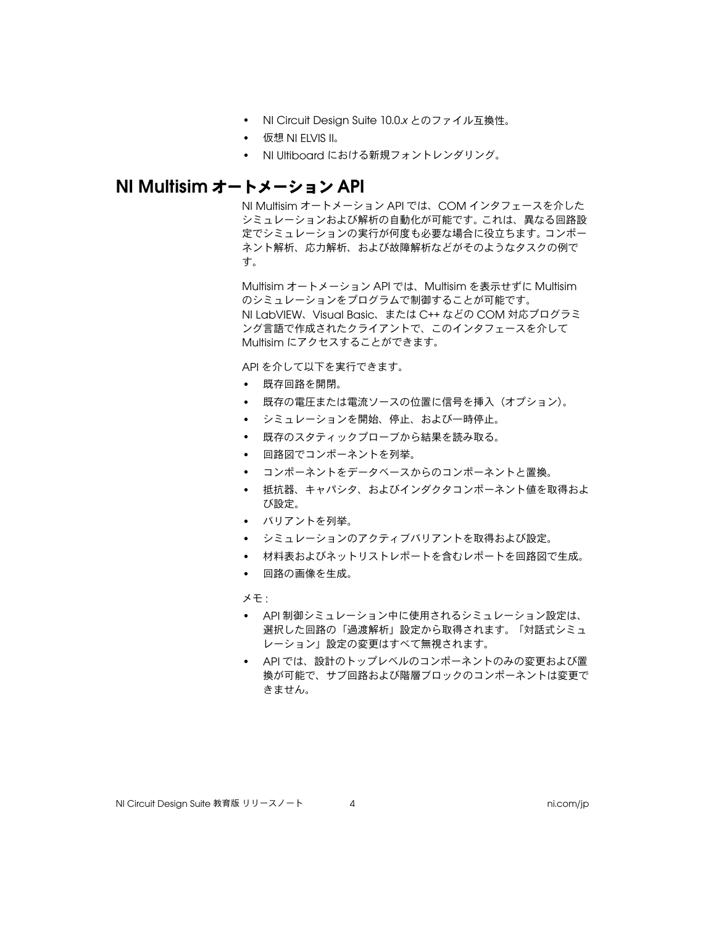- NI Circuit Design Suite 10.0.*x* とのファイル互換性。
- 仮想 NI ELVIS II。
- NI Ultiboard における新規フォントレンダリング。

#### <span id="page-39-0"></span>**NI Multisim** オートメーション **API**

NI Multisim オートメーション API では、COM インタフェースを介した シミュレーションおよび解析の自動化が可能です。これは、異なる回路設 定でシミュレーションの実行が何度も必要な場合に役立ちます。コンポー ネント解析、応力解析、および故障解析などがそのようなタスクの例で す。

Multisim オートメーション API では、Multisim を表示せずに Multisim のシミュレーションをプログラムで制御することが可能です。 NI LabVIEW、Visual Basic、または C++ などの COM 対応プログラミ ング言語で作成されたクライアントで、このインタフェースを介して Multisim にアクセスすることができます。

API を介して以下を実行できます。

- 既存回路を開閉。
- 既存の電圧または電流ソースの位置に信号を挿入(オプション)。
- シミュレーションを開始、停止、および一時停止。
- 既存のスタティックプローブから結果を読み取る。
- 回路図でコンポーネントを列挙。
- コンポーネントをデータベースからのコンポーネントと置換。
- 抵抗器、キャパシタ、およびインダクタコンポーネント値を取得およ び設定。
- バリアントを列挙。
- シミュレーションのアクティブバリアントを取得および設定。
- 材料表およびネットリストレポートを含むレポートを回路図で生成。
- 回路の画像を生成。

メモ :

- API 制御シミュレーション中に使用されるシミュレーション設定は、 選択した回路の「過渡解析」設定から取得されます。「対話式シミュ レーション」設定の変更はすべて無視されます。
- API では、設計のトップレベルのコンポーネントのみの変更および置 換が可能で、サブ回路および階層ブロックのコンポーネントは変更で きません。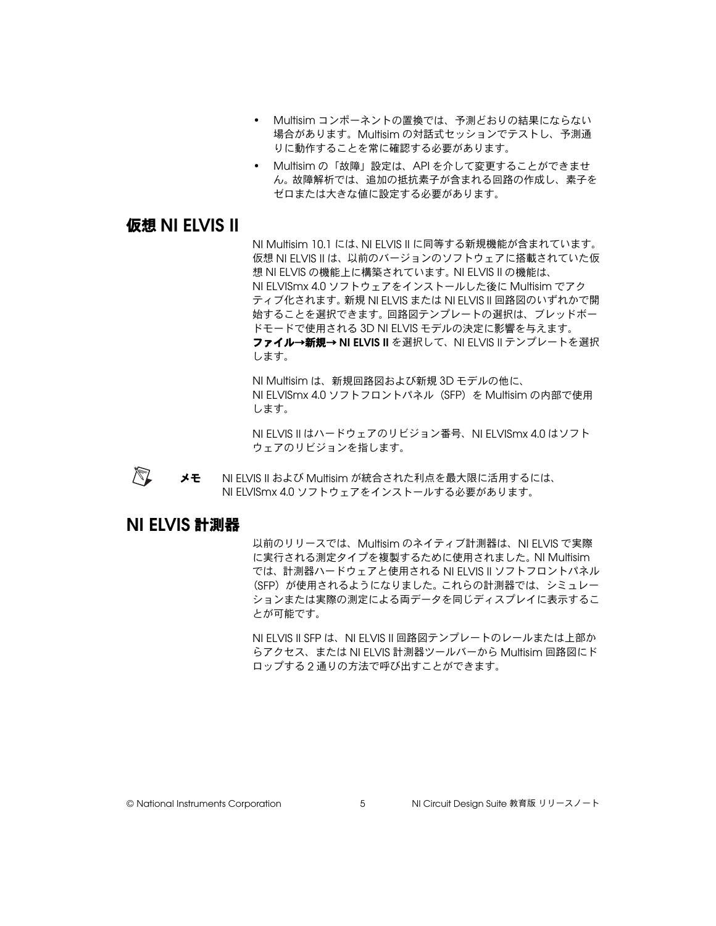- Multisim コンポーネントの置換では、予測どおりの結果にならない 場合があります。Multisim の対話式セッションでテストし、予測通 りに動作することを常に確認する必要があります。
- Multisim の「故障」設定は、API を介して変更することができませ ん。故障解析では、追加の抵抗素子が含まれる回路の作成し、素子を ゼロまたは大きな値に設定する必要があります。

#### <span id="page-40-0"></span>仮想 **NI ELVIS II**

NI Multisim 10.1 には、NI ELVIS II に同等する新規機能が含まれています。 仮想 NI ELVIS II は、以前のバージョンのソフトウェアに搭載されていた仮 想 NI ELVIS の機能上に構築されています。 NI ELVIS II の機能は、 NI ELVISmx 4.0 ソフトウェアをインストールした後に Multisim でアク ティブ化されます。新規 NI ELVIS または NI ELVIS II 回路図のいずれかで開 始することを選択できます。回路図テンプレートの選択は、ブレッドボー ドモードで使用される 3D NI ELVIS モデルの決定に影響を与えます。 **ファイル→新規→ NI ELVIS II** を選択して、NI ELVIS II テンプレートを選択

します。

NI Multisim は、新規回路図および新規 3D モデルの他に、 NI ELVISmx 4.0 ソフトフロントパネル(SFP)を Multisim の内部で使用 します。

NI ELVIS II はハードウェアのリビジョン番号、NI ELVISmx 4.0 はソフト ウェアのリビジョンを指します。

 $\mathbb{N}$ メモ NI FIVIS II および Multisim が統合された利点を最大限に活用するには、 NI ELVISmx 4.0 ソフトウェアをインストールする必要があります。

#### <span id="page-40-1"></span>**NI ELVIS** 計測器

以前のリリースでは、Multisim のネイティブ計測器は、NI ELVIS で実際 に実行される測定タイプを複製するために使用されました。 NI Multisim では、計測器ハードウェアと使用される NI ELVIS II ソフトフロントパネル (SFP)が使用されるようになりました。これらの計測器では、シミュレー ションまたは実際の測定による両データを同じディスプレイに表示するこ とが可能です。

NI ELVIS II SFP は、NI ELVIS II 回路図テンプレートのレールまたは上部か らアクセス、または NI ELVIS 計測器ツールバーから Multisim 回路図にド ロップする 2 通りの方法で呼び出すことができます。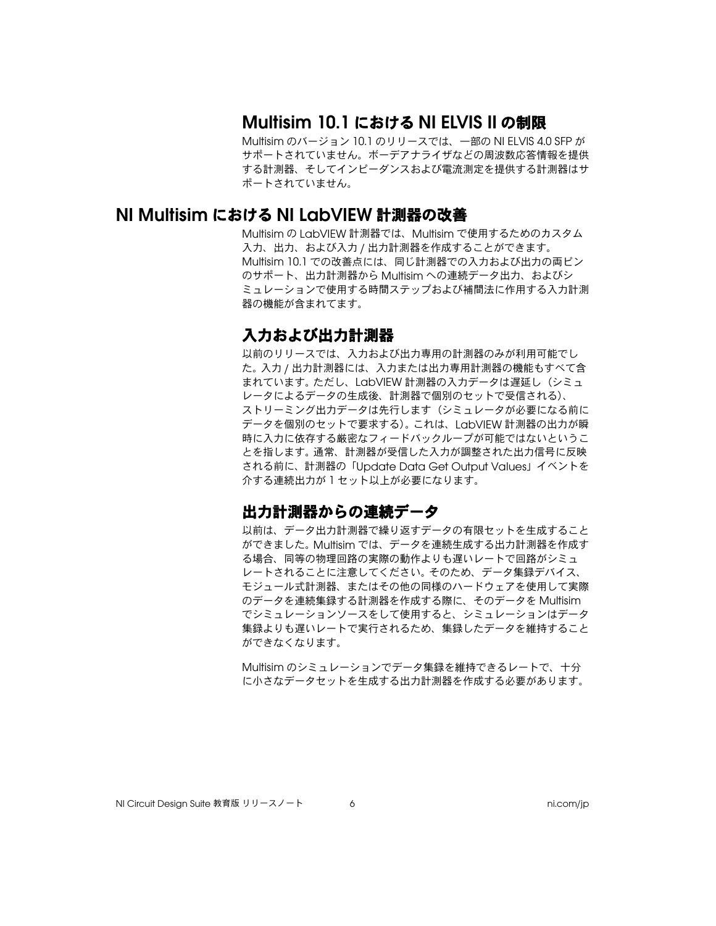### **Multisim 10.1** における **NI ELVIS II** の制限

Multisim のバージョン 10.1 のリリースでは、一部の NI ELVIS 4.0 SFP が サポートされていません。 ボーデアナライザなどの周波数応答情報を提供 する計測器、そしてインピーダンスおよび電流測定を提供する計測器はサ ポートされていません。

#### <span id="page-41-2"></span><span id="page-41-1"></span><span id="page-41-0"></span>**NI Multisim** における **NI LabVIEW** 計測器の改善

Multisim の LabVIEW 計測器では、Multisim で使用するためのカスタム 入力、出力、および入力 / 出力計測器を作成することができます。 Multisim 10.1 での改善点には、同じ計測器での入力および出力の両ピン のサポート、出力計測器から Multisim への連続データ出力、およびシ ミュレーションで使用する時間ステップおよび補間法に作用する入力計測 器の機能が含まれてます。

#### 入力および出力計測器

以前のリリースでは、入力および出力専用の計測器のみが利用可能でし た。入力 / 出力計測器には、入力または出力専用計測器の機能もすべて含 まれています。ただし、LabVIEW 計測器の入力データは遅延し(シミュ レータによるデータの生成後、計測器で個別のセットで受信される)、 ストリーミング出力データは先行します(シミュレータが必要になる前に データを個別のセットで要求する)。これは、LabVIEW 計測器の出力が瞬 時に入力に依存する厳密なフィードバックループが可能ではないというこ とを指します。通常、計測器が受信した入力が調整された出力信号に反映 される前に、計測器の「Update Data Get Output Values」イベントを 介する連続出力が 1 セット以上が必要になります。

#### <span id="page-41-3"></span>出力計測器からの連続データ

以前は、データ出力計測器で繰り返すデータの有限セットを生成すること ができました。 Multisim では、データを連続生成する出力計測器を作成す る場合、同等の物理回路の実際の動作よりも遅いレートで回路がシミュ レートされることに注意してください。そのため、データ集録デバイス、 モジュール式計測器、またはその他の同様のハードウェアを使用して実際 のデータを連続集録する計測器を作成する際に、そのデータを Multisim でシミュレーションソースをして使用すると、シミュレーションはデータ 集録よりも遅いレートで実行されるため、集録したデータを維持すること ができなくなります。

Multisim のシミュレーションでデータ集録を維持できるレートで、十分 に小さなデータセットを生成する出力計測器を作成する必要があります。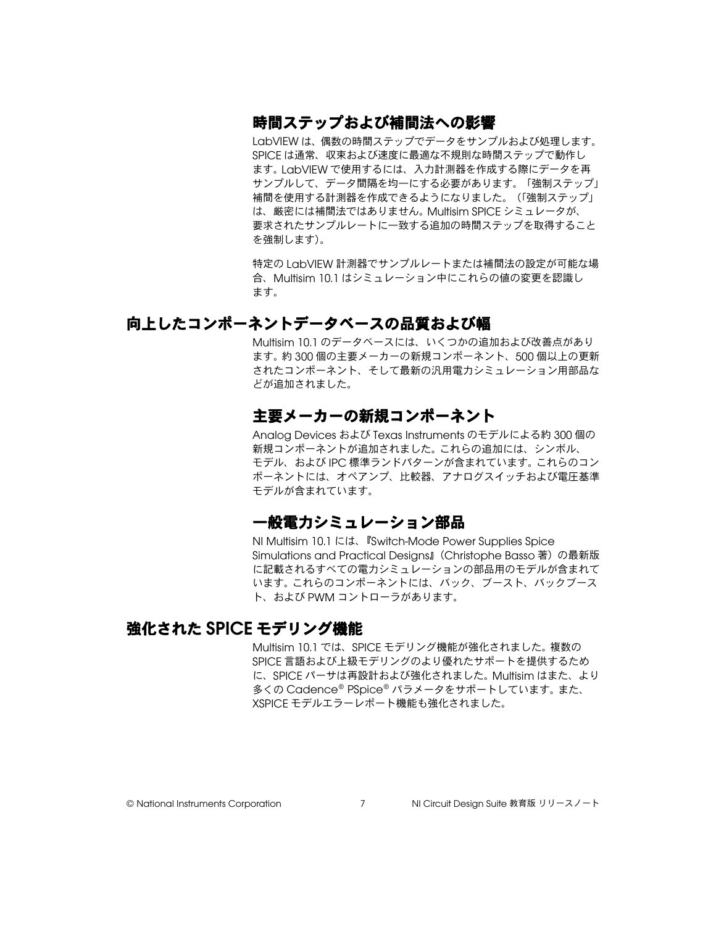#### <span id="page-42-0"></span>時間ステップおよび補間法への影響

LabVIEW は、偶数の時間ステップでデータをサンプルおよび処理します。 SPICE は通常、収束および速度に最適な不規則な時間ステップで動作し ます。 LabVIEW で使用するには、入力計測器を作成する際にデータを再 サンプルして、データ間隔を均一にする必要があります。「強制ステップ」 補間を使用する計測器を作成できるようになりました。(「強制ステップ」 は、厳密には補間法ではありません。 Multisim SPICE シミュレータが、 要求されたサンプルレートに一致する追加の時間ステップを取得すること を強制します)。

特定の LabVIEW 計測器でサンプルレートまたは補間法の設定が可能な場 合、Multisim 10.1 はシミュレーション中にこれらの値の変更を認識し ます。

#### <span id="page-42-2"></span><span id="page-42-1"></span>向上したコンポーネントデータベースの品質および幅

Multisim 10.1 のデータベースには、いくつかの追加および改善点があり ます。約 300 個の主要メーカーの新規コンポーネント、500 個以上の更新 されたコンポーネント、そして最新の汎用電力シミュレーション用部品な どが追加されました。

#### 主要メーカーの新規コンポーネント

Analog Devices および Texas Instruments のモデルによる約 300 個の 新規コンポーネントが追加されました。これらの追加には、シンボル、 モデル、および IPC 標準ランドパターンが含まれています。これらのコン ポーネントには、オペアンプ、比較器、アナログスイッチおよび電圧基準 モデルが含まれています。

#### 一般電力シミュレーション部品

NI Multisim 10.1 には、『Switch-Mode Power Supplies Spice Simulations and Practical Desians』(Christophe Basso 著) の最新版 に記載されるすべての電力シミュレーションの部品用のモデルが含まれて います。これらのコンポーネントには、バック、ブースト、バックブース ト、および PWM コントローラがあります。

#### <span id="page-42-4"></span><span id="page-42-3"></span>強化された **SPICE** モデリング機能

Multisim 10.1 では、SPICE モデリング機能が強化されました。複数の SPICE 言語および上級モデリングのより優れたサポートを提供するため に、SPICE パーサは再設計および強化されました。 Multisim はまた、より 多くの Cadence® PSpice® パラメータをサポートしています。また、 XSPICE モデルエラーレポート機能も強化されました。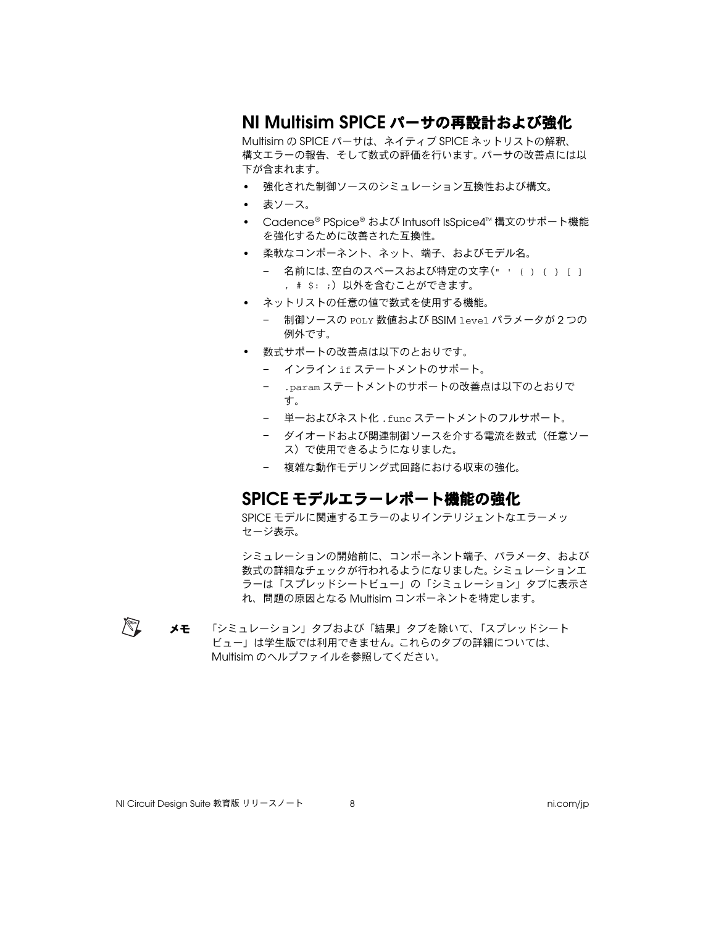# <span id="page-43-0"></span>**NI Multisim SPICE** パーサの再設計および強化

Multisim の SPICE パーサは、ネイティブ SPICE ネットリストの解釈、 構文エラーの報告、そして数式の評価を行います。パーサの改善点には以 下が含まれます。

- 強化された制御ソースのシミュレーション互換性および構文。
- 表ソース。
- Cadence® PSpice® および Intusoft IsSpice4™ 構文のサポート機能 を強化するために改善された互換性。
- 柔軟なコンポーネント、ネット、端子、およびモデル名。
	- 名前には、空白のスペースおよび特定の文字(" ' ( ) { } [ ] , # s: ;) 以外を含むことができます。
- ネットリストの任意の値で数式を使用する機能。
	- 制御ソースの POLY 数値および BSIM level パラメータが 2 つの 例外です。
- 数式サポートの改善点は以下のとおりです。
	- インライン if ステートメントのサポート。
	- .param ステートメントのサポートの改善点は以下のとおりで す。
	- 単一およびネスト化 .func ステートメントのフルサポート。
	- ダイオードおよび関連制御ソースを介する電流を数式(任意ソー ス)で使用できるようになりました。
	- 複雑な動作モデリング式回路における収束の強化。

#### <span id="page-43-1"></span>**SPICE** モデルエラーレポート機能の強化

SPICE モデルに関連するエラーのよりインテリジェントなエラーメッ セージ表示。

シミュレーションの開始前に、コンポーネント端子、パラメータ、および 数式の詳細なチェックが行われるようになりました。シミュレーションエ ラーは「スプレッドシートビュー」の「シミュレーション」タブに表示さ れ、問題の原因となる Multisim コンポーネントを特定します。

 $\mathbb{N}$ メモ 「シミュレーション」タブおよび「結果」タブを除いて、「スプレッドシート ビュー」は学生版では利用できません。これらのタブの詳細については、 Multisim のヘルプファイルを参照してください。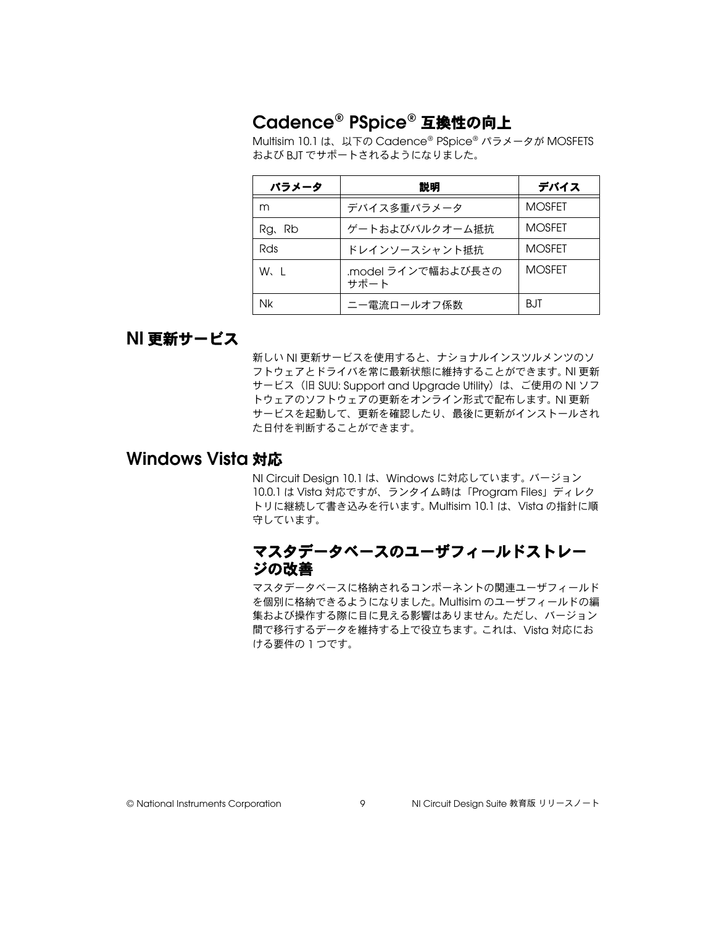# <span id="page-44-0"></span>**Cadence® PSpice®** 互換性の向上

Multisim 10.1 は、以下の Cadence® PSpice® パラメータが MOSFETS および BJT でサポートされるようになりました。

| パラメータ      | 説明                         | デバイス          |
|------------|----------------------------|---------------|
| m          | デバイス多重パラメータ                | <b>MOSFET</b> |
| Rg. Rb     | ゲートおよびバルクオーム抵抗             | <b>MOSFET</b> |
| <b>Rds</b> | ドレインソースシャント抵抗              | <b>MOSFFT</b> |
| W.I        | .model ラインで幅および長さの<br>サポート | <b>MOSFFT</b> |
| Nk         | ニー電流ロールオフ係数                | BJT           |

### <span id="page-44-1"></span>**NI** 更新サービス

新しい NI 更新サービスを使用すると、ナショナルインスツルメンツのソ フトウェアとドライバを常に最新状態に維持することができます。 NI 更新 サービス (旧 SUU: Support and Upgrade Utility) は、ご使用の NI ソフ トウェアのソフトウェアの更新をオンライン形式で配布します。 NI 更新 サービスを起動して、更新を確認したり、最後に更新がインストールされ た日付を判断することができます。

# <span id="page-44-3"></span><span id="page-44-2"></span>**Windows Vista** 対応

NI Circuit Design 10.1 は、Windows に対応しています。バージョン 10.0.1 は Vista 対応ですが、ランタイム時は「Program Files」ディレク トリに継続して書き込みを行います。 Multisim 10.1 は、Vista の指針に順 守しています。

#### マスタデータベースのユーザフィールドストレー ジの改善

マスタデータベースに格納されるコンポーネントの関連ユーザフィールド を個別に格納できるようになりました。 Multisim のユーザフィールドの編 集および操作する際に目に見える影響はありません。ただし、バージョン 間で移行するデータを維持する上で役立ちます。これは、Vista 対応にお ける要件の 1 つです。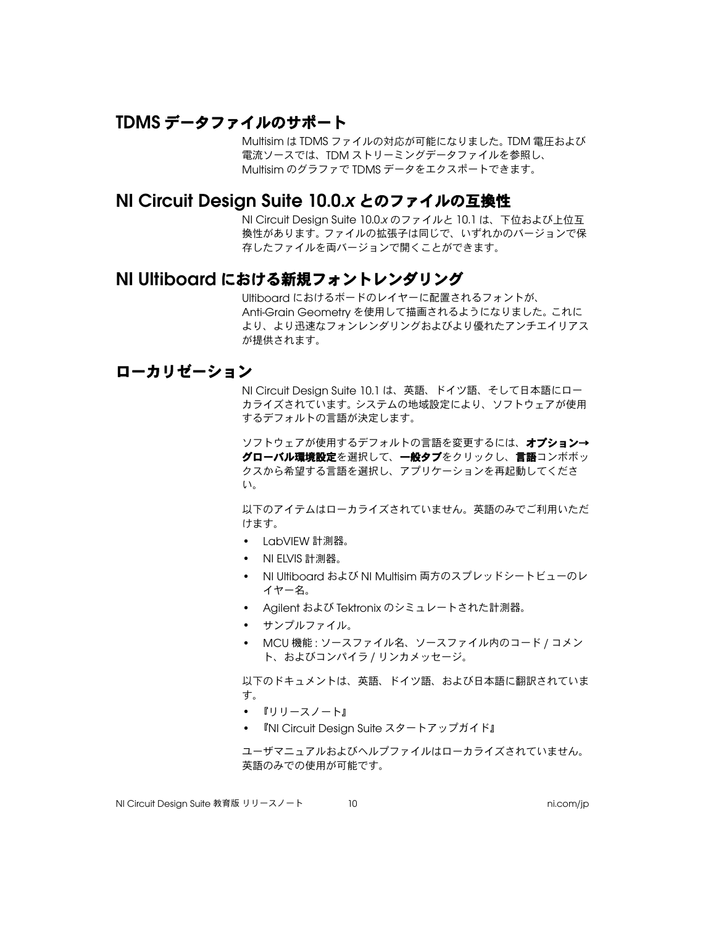# <span id="page-45-0"></span>**TDMS** データファイルのサポート

Multisim は TDMS ファイルの対応が可能になりました。 TDM 電圧および 電流ソースでは、TDM ストリーミングデータファイルを参照し、 Multisim のグラファで TDMS データをエクスポートできます。

#### <span id="page-45-1"></span>**NI Circuit Design Suite 10.0.***x* とのファイルの互換性

NI Circuit Design Suite 10.0.*x* のファイルと 10.1 は、下位および上位互 換性があります。ファイルの拡張子は同じで、いずれかのバージョンで保 存したファイルを両バージョンで開くことができます。

#### <span id="page-45-2"></span>**NI Ultiboard** における新規フォントレンダリング

Ultiboard におけるボードのレイヤーに配置されるフォントが、 Anti-Grain Geometry を使用して描画されるようになりました。これに より、より迅速なフォンレンダリングおよびより優れたアンチエイリアス が提供されます。

#### <span id="page-45-3"></span>ローカリゼーション

NI Circuit Design Suite 10.1 は、英語、ドイツ語、そして日本語にロー カライズされています。システムの地域設定により、ソフトウェアが使用 するデフォルトの言語が決定します。

ソフトウェアが使用するデフォルトの言語を変更するには、オプション→ グローバル環境設定を選択して、一般タブをクリックし、言語コンボボッ クスから希望する言語を選択し、アプリケーションを再起動してくださ い。

以下のアイテムはローカライズされていません。英語のみでご利用いただ けます。

- LabVIEW 計測器。
- NI ELVIS 計測器。
- NI Ultiboard および NI Multisim 両方のスプレッドシートビューのレ イヤー名。
- Agilent および Tektronix のシミュレートされた計測器。
- サンプルファイル。
- MCU 機能 : ソースファイル名、ソースファイル内のコード / コメン ト、およびコンパイラ / リンカメッセージ。

以下のドキュメントは、英語、ドイツ語、および日本語に翻訳されていま す。

- 『リリースノート』
- 『NI Circuit Design Suite スタートアップガイド』

ユーザマニュアルおよびヘルプファイルはローカライズされていません。 英語のみでの使用が可能です。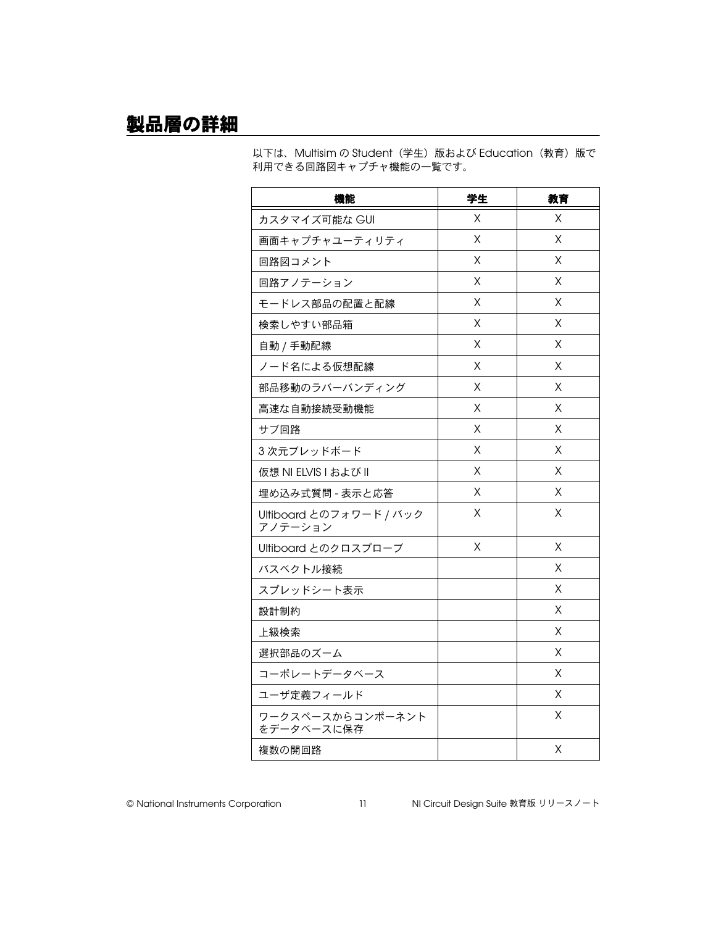<span id="page-46-0"></span>製品層の詳細

以下は、Multisim の Student(学生)版および Education (教育)版で 利用できる回路図キャプチャ機能の一覧です。

| 機能                                 | 学生 | 教育 |
|------------------------------------|----|----|
| カスタマイズ可能な GUI                      | X  | X  |
| 画面キャプチャユーティリティ                     | Χ  | X  |
| 回路図コメント                            | X  | X  |
| 回路アノテーション                          | Χ  | Χ  |
| モードレス部品の配置と配線                      | X  | X  |
| 検索しやすい部品箱                          | Χ  | X  |
| 自動 / 手動配線                          | X  | X  |
| ノード名による仮想配線                        | Χ  | Χ  |
| 部品移動のラバーバンディング                     | Х  | Χ  |
| 高速な自動接続受動機能                        | Χ  | Χ  |
| サブ回路                               | Χ  | X  |
| 3次元ブレッドボード                         | Χ  | Χ  |
| 仮想 NI ELVIS I および II               | X  | X  |
| 埋め込み式質問 - 表示と応答                    | X  | X  |
| Ultiboard とのフォワード / バック<br>アノテーション | X  | X  |
| Ultiboard とのクロスプローブ                | X  | X  |
| バスベクトル接続                           |    | X  |
| スプレッドシート表示                         |    | Χ  |
| 設計制約                               |    | Χ  |
| 上級検索                               |    | Χ  |
| 選択部品のズーム                           |    | Χ  |
| コーポレートデータベース                       |    | Χ  |
| ユーザ定義フィールド                         |    | X  |
| ワークスペースからコンポーネント<br>をデータベースに保存     |    | X  |
| 複数の開回路                             |    | X  |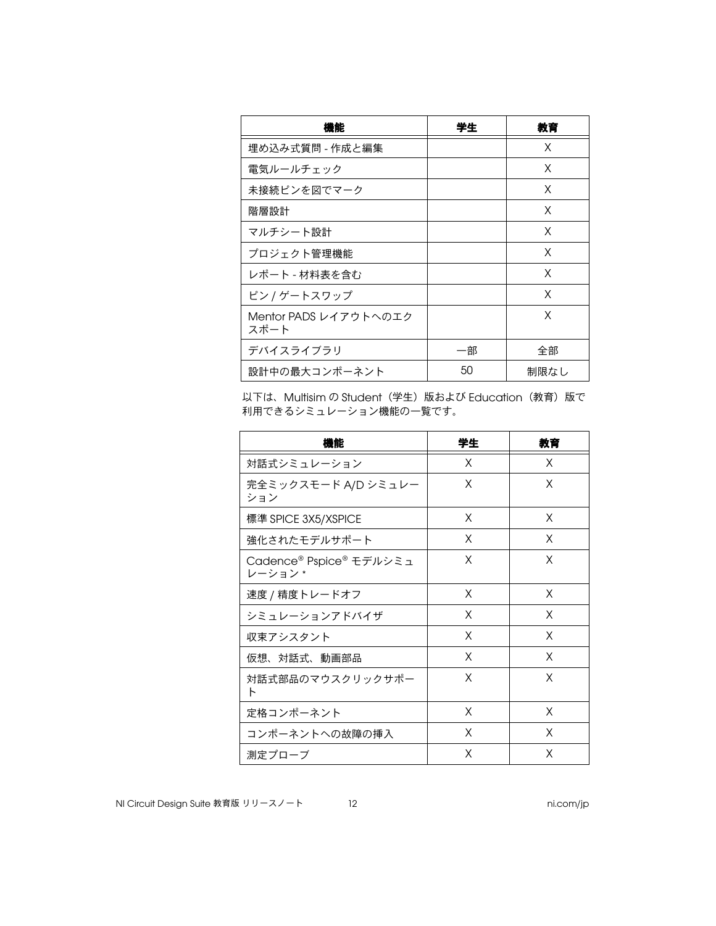| 機能                            | 学生 | 教育   |
|-------------------------------|----|------|
| 埋め込み式質問 - 作成と編集               |    | X    |
| 電気ルールチェック                     |    | X    |
| 未接続ピンを図でマーク                   |    | X    |
| 階層設計                          |    | X    |
| マルチシート設計                      |    | X    |
| プロジェクト管理機能                    |    | X    |
| レポート - 材料表を含む                 |    | X    |
| ピン / ゲートスワップ                  |    | X    |
| Mentor PADS レイアウトへのエク<br>スポート |    | X    |
| デバイスライブラリ                     | 一部 | 全部   |
| 設計中の最大コンポーネント                 | 50 | 制限なし |

以下は、Multisim の Student(学生)版および Education(教育)版で 利用できるシミュレーション機能の一覧です。

| 機能                                 | 学生 | 教育 |
|------------------------------------|----|----|
| 対話式シミュレーション                        | X  | X  |
| 完全ミックスモード A/D シミュレー<br>ション         | X  | X  |
| 標準 SPICE 3X5/XSPICE                | X  | X  |
| 強化されたモデルサポート                       | X  | X  |
| Cadence® Pspice® モデルシミュ<br>レーション * | X  | X  |
| 速度 / 精度トレードオフ                      | X  | X  |
| シミュレーションアドバイザ                      | X  | X  |
| 収束アシスタント                           | X  | X  |
| 仮想、対話式、動画部品                        | X  | X  |
| 対話式部品のマウスクリックサポー<br>Ь              | X  | X  |
| 定格コンポーネント                          | X  | X  |
| コンポーネントへの故障の挿入                     | X  | X  |
| 測定プローブ                             | X  | X  |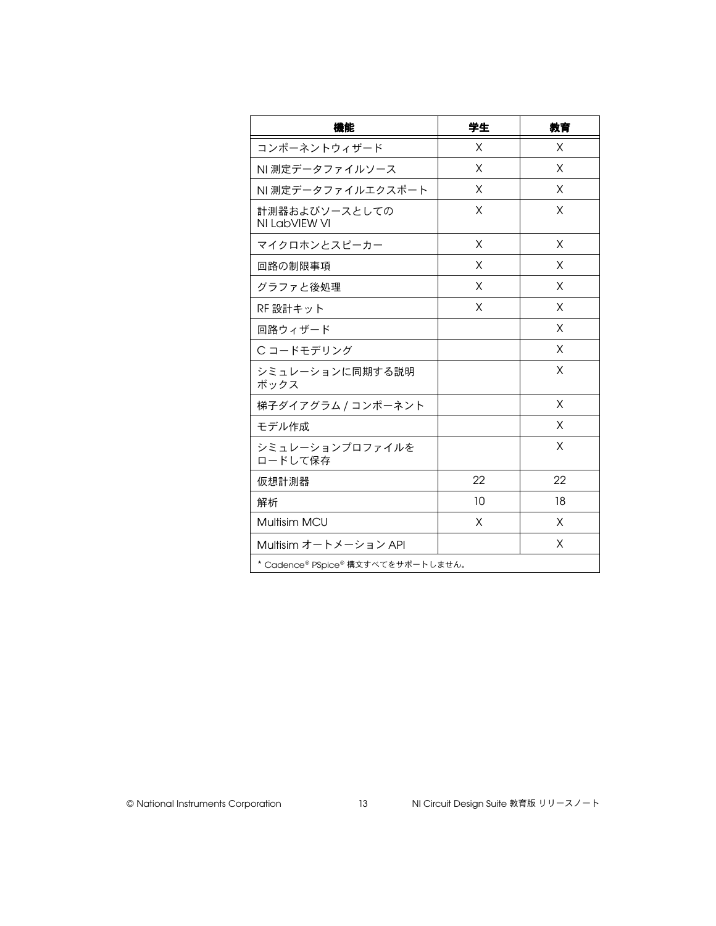| 機能                                 | 学生 | 教育 |
|------------------------------------|----|----|
| コンポーネントウィザード                       | X  | X  |
| NI 測定データファイルソース                    | X  | X  |
| NI 測定データファイルエクスポート                 | X  | X  |
| 計測器およびソースとしての<br>NI LabVIEW VI     | X  | X  |
| マイクロホンとスピーカー                       | X  | X  |
| 回路の制限事項                            | X  | X  |
| グラファと後処理                           | X  | X  |
| RF 設計キット                           | X  | X  |
| 回路ウィザード                            |    | X  |
| Cコードモデリング                          |    | X  |
| シミュレーションに同期する説明<br>ボックス            |    | X  |
| 梯子ダイアグラム / コンポーネント                 |    | X  |
| モデル作成                              |    | X  |
| シミュレーションプロファイルを<br>ロードして保存         |    | X  |
| 仮想計測器                              | 22 | 22 |
| 解析                                 | 10 | 18 |
| Multisim MCU                       | X  | X  |
| Multisim オートメーション API              |    | X  |
| * Cadence® PSpice® 構文すべてをサポートしません。 |    |    |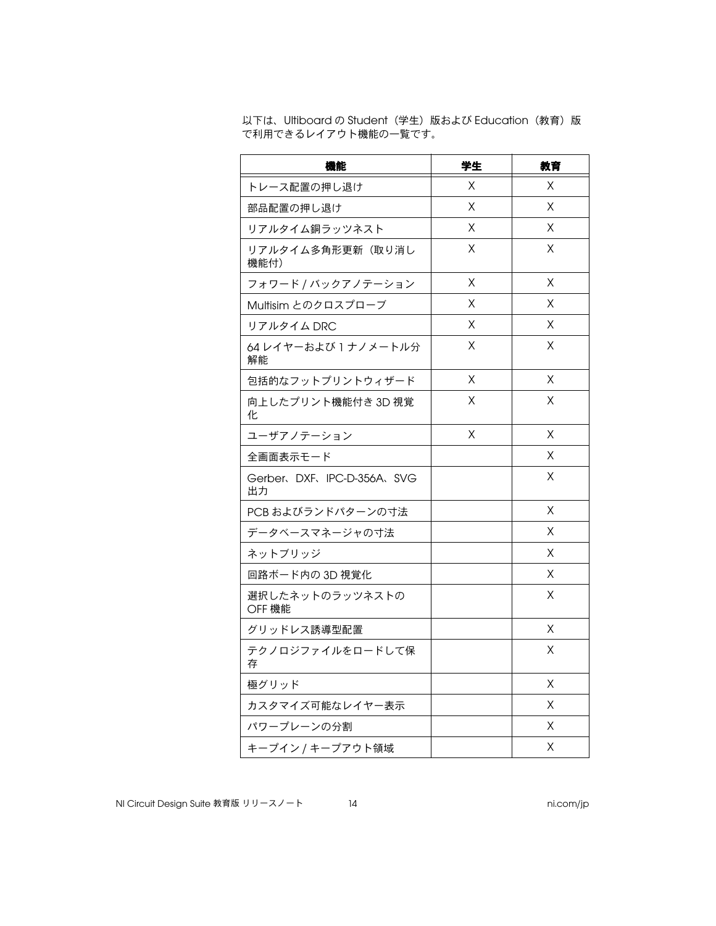以下は、Ultiboard の Student (学生)版および Education (教育)版 で利用できるレイアウト機能の一覧です。

| 機能                                 | 学生 | 教育 |
|------------------------------------|----|----|
| トレース配置の押し退け                        | X  | Χ  |
| 部品配置の押し退け                          | X  | X  |
| リアルタイム銅ラッツネスト                      | Χ  | Χ  |
| リアルタイム多角形更新(取り消し<br>機能付)           | Χ  | Χ  |
| フォワード / バックアノテーション                 | X  | X  |
| Multisim とのクロスプローブ                 | Χ  | Χ  |
| リアルタイム DRC                         | Χ  | X  |
| 64 レイヤーおよび 1 ナノメートル分<br>解能         | Χ  | Χ  |
| 包括的なフットプリントウィザード                   | X  | X  |
| 向上したプリント機能付き 3D 視覚<br>化            | Χ  | Χ  |
| ユーザアノテーション                         | X  | X  |
| 全画面表示モード                           |    | X  |
| Gerber, DXF, IPC-D-356A, SVG<br>出力 |    | Χ  |
| PCB およびランドパターンの寸法                  |    | X  |
| データベースマネージャの寸法                     |    | Χ  |
| ネットブリッジ                            |    | Х  |
| 回路ボード内の 3D 視覚化                     |    | Χ  |
| 選択したネットのラッツネストの<br>OFF 機能          |    | X  |
| グリッドレス誘導型配置                        |    | X  |
| テクノロジファイルをロードして保<br>存              |    | Х  |
| 極グリッド                              |    | Χ  |
| カスタマイズ可能なレイヤー表示                    |    | Χ  |
| パワープレーンの分割                         |    | Χ  |
| キープイン / キープアウト領域                   |    | Χ  |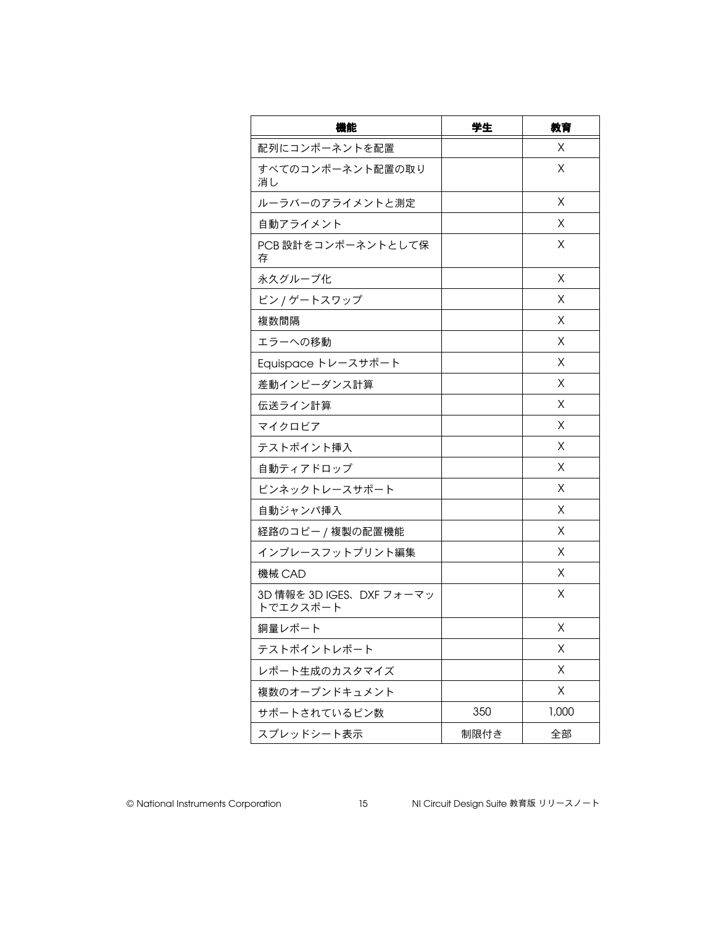| 機能                                   | 学生   | 教育    |
|--------------------------------------|------|-------|
| 配列にコンポーネントを配置                        |      | X     |
| すべてのコンポーネント配置の取り<br>消し               |      | X     |
| ルーラバーのアライメントと測定                      |      | X     |
| 自動アライメント                             |      | Х     |
| PCB設計をコンポーネントとして保<br>存               |      | Х     |
| 永久グループ化                              |      | X     |
| ピン / ゲートスワップ                         |      | X     |
| 複数間隔                                 |      | X     |
| エラーへの移動                              |      | X     |
| Equispace トレースサポート                   |      | X     |
| 差動インピーダンス計算                          |      | X     |
| 伝送ライン計算                              |      | X     |
| マイクロビア                               |      | X     |
| テストポイント挿入                            |      | X     |
| 自動ティアドロップ                            |      | X     |
| ピンネックトレースサポート                        |      | X     |
| 自動ジャンパ挿入                             |      | X     |
| 経路のコピー / 複製の配置機能                     |      | X     |
| インプレースフットプリント編集                      |      | X     |
| 機械 CAD                               |      | X     |
| 3D 情報を 3D IGES、DXF フォーマッ<br>トでエクスポート |      | X     |
| 銅量レポート                               |      | X     |
| テストポイントレポート                          |      | Χ     |
| レポート生成のカスタマイズ                        |      | Χ     |
| 複数のオープンドキュメント                        |      | Χ     |
| サポートされているピン数                         | 350  | 1,000 |
| スプレッドシート表示                           | 制限付き | 全部    |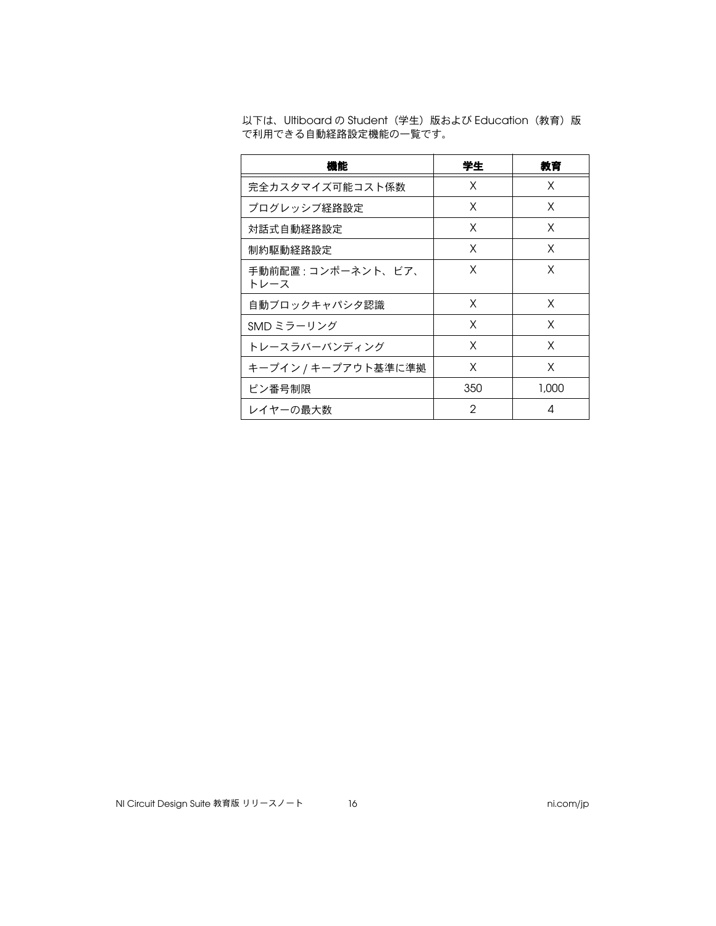| 機能                          | 学生  | 教育    |
|-----------------------------|-----|-------|
| 完全カスタマイズ可能コスト係数             | X   | X     |
| プログレッシブ経路設定                 | X   | X     |
| 対話式自動経路設定                   | X   | X     |
| 制約駆動経路設定                    | X   | X     |
| 手動前配置 : コンポーネント、ビア、<br>トレース | X   | X     |
| 自動ブロックキャパシタ認識               | X   | X     |
| SMD ミラーリング                  | X   | X     |
| トレースラバーバンディング               | X   | X     |
| キープイン / キープアウト基準に準拠         | X   | X     |
| ピン番号制限                      | 350 | 1,000 |
| レイヤーの最大数                    | 2   | 4     |

以下は、Ultiboard の Student (学生)版および Education (教育)版 で利用できる自動経路設定機能の一覧です。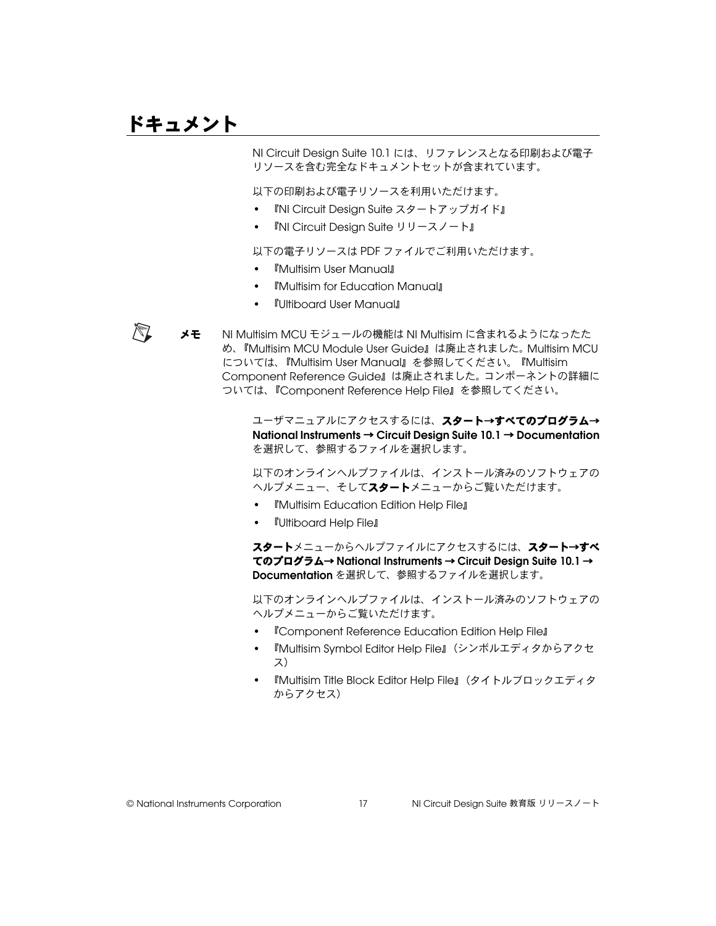# <span id="page-52-0"></span>ドキュメント

 $\mathbb N$ 

NI Circuit Design Suite 10.1 には、リファレンスとなる印刷および電子 リソースを含む完全なドキュメントセットが含まれています。

以下の印刷および電子リソースを利用いただけます。

- 『NI Circuit Design Suite スタートアップガイド』
- 『NI Circuit Design Suite リリースノート』

以下の電子リソースは PDF ファイルでご利用いただけます。

- 『Multisim User Manual』
- 『Multisim for Education Manual』
- 『Ultiboard User Manual』

**メモ** NI Multisim MCU モジュールの機能は NI Multisim に含まれるようになったた め、『Multisim MCU Module User Guide』は廃止されました。 Multisim MCU については、『Multisim User Manual』を参照してください。『Multisim Component Reference Guide』は廃止されました。コンポーネントの詳細に ついては、『Component Reference Help File』を参照してください。

> ユーザマニュアルにアクセスするには、スタート→すべてのプログラム→ **National Instruments** → **Circuit Design Suite 10.1** → **Documentation** を選択して、参照するファイルを選択します。

> 以下のオンラインヘルプファイルは、インストール済みのソフトウェアの ヘルプメニュー、そしてスタートメニューからご覧いただけます。

- 『Multisim Education Edition Help File』
- 『Ultiboard Help File』

スタートメニューからヘルプファイルにアクセスするには、スタート→すべ てのプログラム→ **National Instruments** → **Circuit Design Suite 10.1** → **Documentation** を選択して、参照するファイルを選択します。

以下のオンラインヘルプファイルは、インストール済みのソフトウェアの ヘルプメニューからご覧いただけます。

- 『Component Reference Education Edition Help File』
- 『Multisim Symbol Editor Help File』(シンボルエディタからアクセ ス)
- 『Multisim Title Block Editor Help File』(タイトルブロックエディタ からアクセス)